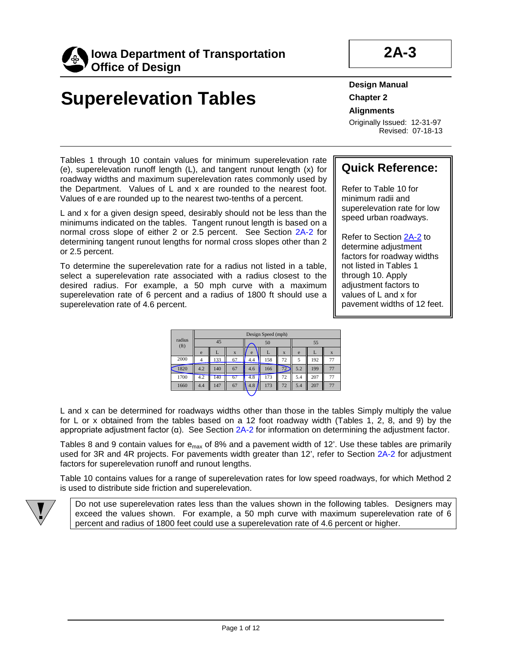

# **Superelevation Tables**

**Design Manual Chapter 2 Alignments**

Originally Issued: 12-31-97 Revised: 07-18-13

### **Quick Reference:**

Refer to Table 10 for minimum radii and superelevation rate for low speed urban roadways.

Refer to Section 2A-2 to determine adjustment factors for roadway widths not listed in Tables 1 through 10. Apply adjustment factors to values of L and x for pavement widths of 12 feet.

Tables 1 through 10 contain values for minimum superelevation rate (e), superelevation runoff length (L), and tangent runout length (x) for roadway widths and maximum superelevation rates commonly used by the Department. Values of L and x are rounded to the nearest foot. Values of e are rounded up to the nearest two-tenths of a percent.

L and x for a given design speed, desirably should not be less than the minimums indicated on the tables. Tangent runout length is based on a normal cross slope of either 2 or 2.5 percent. See Section 2A-2 for determining tangent runout lengths for normal cross slopes other than 2 or 2.5 percent.

To determine the superelevation rate for a radius not listed in a table, select a superelevation rate associated with a radius closest to the desired radius. For example, a 50 mph curve with a maximum superelevation rate of 6 percent and a radius of 1800 ft should use a superelevation rate of 4.6 percent.

|                             |     |     |             |     | Design Speed (mph) |                           |     |     |    |
|-----------------------------|-----|-----|-------------|-----|--------------------|---------------------------|-----|-----|----|
| radius<br>(f <sub>t</sub> ) |     | 45  |             |     | 50                 |                           |     | 55  |    |
|                             | e   | L   | $\mathbf x$ | e   | L                  | $\boldsymbol{\mathrm{X}}$ | e   |     | X  |
| 2000                        | 4   | 133 | 67          | 4.4 | 158                | 72                        | 5   | 192 | 77 |
| 1820                        | 4.2 | 140 | 67          | 4.6 | 166                | 72                        | 5.2 | 199 | 77 |
| 1700                        | 4.2 | 140 | 67          | 4.8 | 173                | 72                        | 5.4 | 207 | 77 |
| 1660                        | 4.4 | 147 | 67          | 4.8 | 173                | 72                        | 5.4 | 207 | 77 |

L and x can be determined for roadways widths other than those in the tables Simply multiply the value for L or x obtained from the tables based on a 12 foot roadway width (Tables 1, 2, 8, and 9) by the appropriate adjustment factor (α). See Section 2A-2 for information on determining the adjustment factor.

Tables 8 and 9 contain values for  $e_{max}$  of 8% and a pavement width of 12'. Use these tables are primarily used for 3R and 4R projects. For pavements width greater than 12', refer to Section 2A-2 for adjustment factors for superelevation runoff and runout lengths.

Table 10 contains values for a range of superelevation rates for low speed roadways, for which Method 2 is used to distribute side friction and superelevation.



Do not use superelevation rates less than the values shown in the following tables. Designers may exceed the values shown. For example, a 50 mph curve with maximum superelevation rate of 6 percent and radius of 1800 feet could use a superelevation rate of 4.6 percent or higher.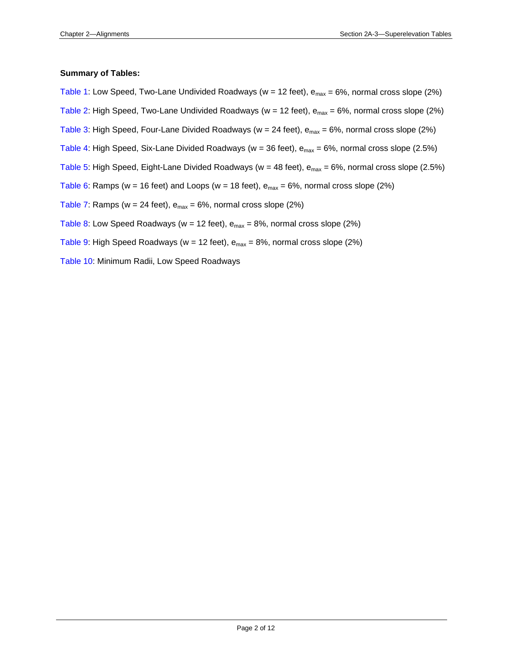#### <span id="page-1-0"></span>**Summary of Tables:**

[Table 1:](#page-2-0) Low Speed, Two-Lane Undivided Roadways ( $w = 12$  feet),  $e_{max} = 6\%$ , normal cross slope (2%) [Table 2:](#page-3-0) High Speed, Two-Lane Undivided Roadways (w = 12 feet),  $e_{max}$  = 6%, normal cross slope (2%) [Table 3:](#page-4-0) High Speed, Four-Lane Divided Roadways ( $w = 24$  feet),  $e_{max} = 6\%$ , normal cross slope (2%) [Table 4:](#page-5-0) High Speed, Six-Lane Divided Roadways (w = 36 feet),  $e_{max}$  = 6%, normal cross slope (2.5%) [Table 5:](#page-6-0) High Speed, Eight-Lane Divided Roadways (w = 48 feet),  $e_{max}$  = 6%, normal cross slope (2.5%) [Table 6:](#page-7-0) Ramps (w = 16 feet) and Loops (w = 18 feet),  $e_{max}$  = 6%, normal cross slope (2%) [Table 7:](#page-8-0) Ramps ( $w = 24$  feet),  $e_{max} = 6\%$ , normal cross slope (2%) [Table 8:](#page-9-0) Low Speed Roadways (w = 12 feet),  $e_{max}$  = 8%, normal cross slope (2%) [Table 9:](#page-10-0) High Speed Roadways (w = 12 feet),  $e_{max}$  = 8%, normal cross slope (2%) [Table 10:](#page-11-0) Minimum Radii, Low Speed Roadways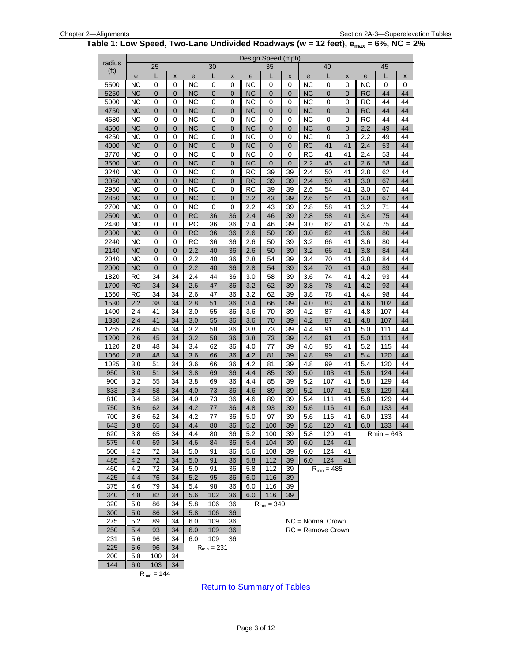#### <span id="page-2-0"></span>**Table 1: Low Speed, Two-Lane Undivided Roadways (w = 12 feet), emax = 6%, NC = 2%**

|                   |                        |                 |                 |                |                 |           |            | Design Speed (mph) |             |            |                     |                |            |              |          |
|-------------------|------------------------|-----------------|-----------------|----------------|-----------------|-----------|------------|--------------------|-------------|------------|---------------------|----------------|------------|--------------|----------|
| radius            |                        | 25              |                 |                | 30              |           |            | 35                 |             |            | 40                  |                |            | 45           |          |
| (f <sup>t</sup> ) | e                      | L               | X               | e              | L               | X         | e          | L                  | X           | е          | L                   | X              | е          | L            | X        |
| 5500              | <b>NC</b>              | 0               | 0               | ΝC             | 0               | 0         | <b>NC</b>  | 0                  | 0           | <b>NC</b>  | 0                   | 0              | <b>NC</b>  | 0            | 0        |
| 5250              | <b>NC</b>              | 0               | $\overline{0}$  | <b>NC</b>      | $\mathbf 0$     | 0         | <b>NC</b>  | $\mathbf 0$        | 0           | <b>NC</b>  | $\mathbf 0$         | $\overline{0}$ | <b>RC</b>  | 44           | 44       |
| 5000              | <b>NC</b>              | 0               | 0               | <b>NC</b>      | 0               | 0         | NC         | 0                  | 0           | <b>NC</b>  | 0                   | 0              | <b>RC</b>  | 44           | 44       |
| 4750              | <b>NC</b>              | 0               | 0               | <b>NC</b>      | $\mathbf 0$     | 0         | <b>NC</b>  | $\overline{0}$     | 0           | <b>NC</b>  | $\mathbf 0$         | $\overline{0}$ | <b>RC</b>  | 44           | 44       |
| 4680              | <b>NC</b>              | 0               | 0               | <b>NC</b>      | 0               | 0         | <b>NC</b>  | 0                  | 0           | <b>NC</b>  | 0                   | 0              | <b>RC</b>  | 44           | 44       |
| 4500              | <b>NC</b>              | $\pmb{0}$       | $\mathbf 0$     | <b>NC</b>      | $\mathbf 0$     | 0         | <b>NC</b>  | $\mathbf 0$        | 0           | <b>NC</b>  | $\mathbf 0$         | $\mathbf 0$    | 2.2        | 49           | 44       |
| 4250              | <b>NC</b>              | 0               | 0               | <b>NC</b>      | 0               | 0         | <b>NC</b>  | 0                  | 0           | <b>NC</b>  | 0                   | 0              | 2.2        | 49           | 44       |
| 4000              | <b>NC</b>              | 0               | 0               | N <sub>C</sub> | $\mathbf 0$     | 0         | <b>NC</b>  | $\mathbf 0$        | 0           | <b>RC</b>  | 41                  | 41             | 2.4        | 53           | 44       |
| 3770              | <b>NC</b>              | 0               | 0               | <b>NC</b>      | $\mathbf 0$     | 0         | <b>NC</b>  | $\mathbf 0$        | $\mathbf 0$ | <b>RC</b>  | 41                  | 41             | 2.4        | 53           | 44       |
| 3500              | <b>NC</b>              | $\pmb{0}$       | 0               | <b>NC</b>      | $\pmb{0}$       | $\pmb{0}$ | <b>NC</b>  | $\mathbf 0$        | 0           | 2.2        | 45                  | 41             | 2.6        | 58           | 44       |
| 3240              | <b>NC</b>              | 0               | 0               | <b>NC</b>      | 0               | 0         | <b>RC</b>  | 39                 | 39          | 2.4        | 50                  | 41             | 2.8        | 62           | 44       |
| 3050              | <b>NC</b>              | 0               | 0               | <b>NC</b>      | $\mathbf 0$     | 0         | <b>RC</b>  | 39                 | 39          | 2.4        | 50                  | 41             | 3.0        | 67           | 44       |
| 2950              | <b>NC</b>              | 0               | 0               | <b>NC</b>      | $\mathbf 0$     | 0         | <b>RC</b>  | 39                 | 39          | 2.6        | 54                  | 41             | 3.0        | 67           | 44       |
| 2850              | <b>NC</b>              | 0               | 0               | <b>NC</b>      | $\pmb{0}$       | $\pmb{0}$ | 2.2        | 43                 | 39          | 2.6        | 54                  | 41             | 3.0        | 67           | 44       |
| 2700              | <b>NC</b>              | 0               | 0               | <b>NC</b>      | 0               | 0         | 2.2        | 43                 | 39          | 2.8        | 58                  | 41             | 3.2        | 71           | 44       |
| 2500              | <b>NC</b>              | 0               | 0               | <b>RC</b>      | 36              | 36        | 2.4        | 46                 | 39          | 2.8        | 58                  | 41             | 3.4        | 75           | 44       |
| 2480              | <b>NC</b>              | 0               | 0               | <b>RC</b>      | 36              | 36        | 2.4        | 46                 | 39          | 3.0        | 62                  | 41             | 3.4        | 75           | 44       |
| 2300              | <b>NC</b>              | 0               | 0               | <b>RC</b>      | 36              | 36        | 2.6        | 50                 | 39          | 3.0        | 62                  | 41             | 3.6        | 80           | 44       |
| 2240              | <b>NC</b>              | 0               | 0               | <b>RC</b>      | 36              | 36        | 2.6        | 50                 | 39          | 3.2        | 66                  | 41             | 3.6        | 80           | 44       |
| 2140<br>2040      | <b>NC</b>              | 0               | 0               | 2.2            | 40              | 36        | 2.6        | 50                 | 39          | 3.2        | 66                  | 41             | 3.8        | 84           | 44       |
|                   | <b>NC</b>              | 0               | 0               | 2.2            | 40              | 36        | 2.8        | 54                 | 39          | 3.4        | 70                  | 41             | 3.8        | 84           | 44       |
| 2000              | <b>NC</b><br><b>RC</b> | $\pmb{0}$       | 0<br>34         | 2.2<br>2.4     | 40<br>44        | 36<br>36  | 2.8        | 54                 | 39          | 3.4        | 70<br>74            | 41             | 4.0<br>4.2 | 89           | 44<br>44 |
| 1820              |                        | 34              |                 | 2.6            | 47              |           | 3.0        | 58                 | 39          | 3.6        | 78                  | 41             |            | 93           |          |
| 1700<br>1660      | <b>RC</b><br><b>RC</b> | 34<br>34        | 34<br>34        | 2.6            | 47              | 36<br>36  | 3.2<br>3.2 | 62<br>62           | 39<br>39    | 3.8<br>3.8 | 78                  | 41<br>41       | 4.2<br>4.4 | 93<br>98     | 44<br>44 |
| 1530              | 2.2                    | 38              | 34              | 2.8            | 51              | 36        | 3.4        | 66                 | 39          | 4.0        | 83                  | 41             | 4.6        | 102          | 44       |
| 1400              | 2.4                    | 41              | 34              | 3.0            | 55              | 36        | 3.6        | 70                 | 39          | 4.2        | 87                  | 41             | 4.8        | 107          | 44       |
| 1330              | 2.4                    | 41              | 34              | 3.0            | 55              | 36        | 3.6        | 70                 | 39          | 4.2        | 87                  | 41             | 4.8        | 107          | 44       |
| 1265              | 2.6                    | 45              | 34              | 3.2            | 58              | 36        | 3.8        | 73                 | 39          | 4.4        | 91                  | 41             | 5.0        | 111          | 44       |
| 1200              | 2.6                    | 45              | 34              | 3.2            | 58              | 36        | 3.8        | 73                 | 39          | 4.4        | 91                  | 41             | 5.0        | 111          | 44       |
| 1120              | 2.8                    | 48              | 34              | 3.4            | 62              | 36        | 4.0        | 77                 | 39          | 4.6        | 95                  | 41             | 5.2        | 115          | 44       |
| 1060              | 2.8                    | 48              | 34              | 3.6            | 66              | 36        | 4.2        | 81                 | 39          | 4.8        | 99                  | 41             | 5.4        | 120          | 44       |
| 1025              | 3.0                    | 51              | 34              | 3.6            | 66              | 36        | 4.2        | 81                 | 39          | 4.8        | 99                  | 41             | 5.4        | 120          | 44       |
| 950               | 3.0                    | 51              | 34              | 3.8            | 69              | 36        | 4.4        | 85                 | 39          | 5.0        | 103                 | 41             | 5.6        | 124          | 44       |
| 900               | 3.2                    | 55              | 34              | 3.8            | 69              | 36        | 4.4        | 85                 | 39          | 5.2        | 107                 | 41             | 5.8        | 129          | 44       |
| 833               | 3.4                    | 58              | 34              | 4.0            | 73              | 36        | 4.6        | 89                 | 39          | 5.2        | 107                 | 41             | 5.8        | 129          | 44       |
| 810               | 3.4                    | 58              | 34              | 4.0            | 73              | 36        | 4.6        | 89                 | 39          | 5.4        | 111                 | 41             | 5.8        | 129          | 44       |
| 750               | 3.6                    | 62              | 34              | 4.2            | 77              | 36        | 4.8        | 93                 | 39          | 5.6        | 116                 | 41             | 6.0        | 133          | 44       |
| 700               | 3.6                    | 62              | 34              | 4.2            | 77              | 36        | 5.0        | 97                 | 39          | 5.6        | 116                 | 41             | 6.0        | 133          | 44       |
| 643               | $\overline{3.8}$       | 65              | $\overline{34}$ | 4.4            | 80              | 36        | 5.2        | 100                | 39          | 5.8        | 120                 | 41             | 6.0        | 133          | 44       |
| 620               | 3.8                    | 65              | 34              | 4.4            | 80              | 36        | 5.2        | 100                | 39          | 5.8        | 120                 | 41             |            | $Rmin = 643$ |          |
| 575               | 4.0                    | 69              | 34              | 4.6            | 84              | 36        | 5.4        | 104                | 39          | 6.0        | 124                 | 41             |            |              |          |
| 500               | 4.2                    | 72              | 34              | 5.0            | 91              | 36        | 5.6        | 108                | 39          | 6.0        | 124                 | 41             |            |              |          |
| 485               | 4.2                    | 72              | 34              | 5.0            | 91              | 36        | 5.8        | 112                | 39          | 6.0        | 124                 | 41             |            |              |          |
| 460               | 4.2                    | 72              | 34              | 5.0            | 91              | 36        | 5.8        | 112                | 39          |            | $R_{min} = 485$     |                |            |              |          |
| 425               | 4.4                    | 76              | 34              | 5.2            | 95              | 36        | 6.0        | 116                | 39          |            |                     |                |            |              |          |
| 375               | 4.6                    | 79              | 34              | 5.4            | 98              | 36        | 6.0        | 116                | 39          |            |                     |                |            |              |          |
| 340               | 4.8                    | 82              | 34              | 5.6            | 102             | 36        | 6.0        | 116                | 39          |            |                     |                |            |              |          |
| 320               | 5.0                    | 86              | 34              | 5.8            | 106             | 36        |            | $R_{min} = 340$    |             |            |                     |                |            |              |          |
| 300               | 5.0                    | 86              | 34              | 5.8            | 106             | 36        |            |                    |             |            |                     |                |            |              |          |
| 275               | 5.2                    | 89              | 34              | 6.0            | 109             | 36        |            |                    |             |            | $NC = Normal Crown$ |                |            |              |          |
| 250               | 5.4                    | 93              | 34              | 6.0            | 109             | 36        |            |                    |             |            | RC = Remove Crown   |                |            |              |          |
| 231               | 5.6                    | 96              | 34              | 6.0            | 109             | 36        |            |                    |             |            |                     |                |            |              |          |
| 225               | 5.6                    | 96              | 34              |                | $R_{min} = 231$ |           |            |                    |             |            |                     |                |            |              |          |
| 200               | 5.8                    | 100             | 34              |                |                 |           |            |                    |             |            |                     |                |            |              |          |
| 144               | 6.0                    | 103             | 34              |                |                 |           |            |                    |             |            |                     |                |            |              |          |
|                   |                        | $R_{min} = 144$ |                 |                |                 |           |            |                    |             |            |                     |                |            |              |          |

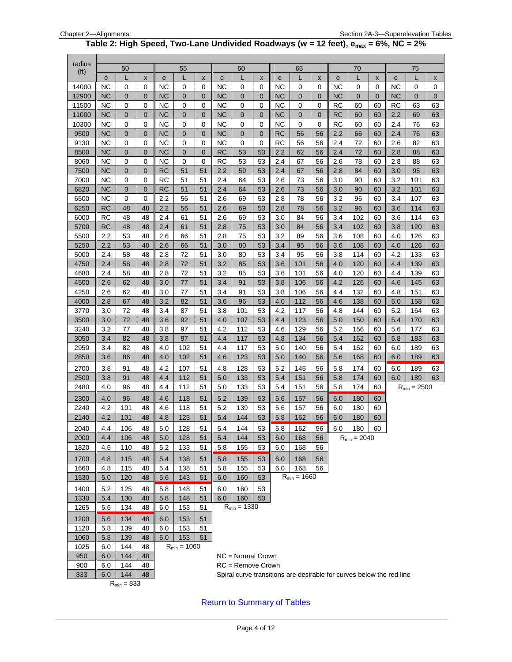#### **Table 2: High Speed, Two-Lane Undivided Roadways (w = 12 feet), emax = 6%, NC = 2%**

<span id="page-3-0"></span>

| radius            |                 |                 |              |                        |                  |                            |                        |                     |                  |                 |                  |          |            |                                                                      |              |            |                  |                    |
|-------------------|-----------------|-----------------|--------------|------------------------|------------------|----------------------------|------------------------|---------------------|------------------|-----------------|------------------|----------|------------|----------------------------------------------------------------------|--------------|------------|------------------|--------------------|
| (f <sup>t</sup> ) |                 | 50              |              |                        | 55               |                            |                        | 60                  |                  |                 | 65               |          |            | 70                                                                   |              |            | 75               |                    |
|                   | е               | L               | X            | e                      | L                | X                          | е                      | L                   | X                | е               | L                | X        | e          |                                                                      | X            | e          | L                | $\pmb{\mathsf{x}}$ |
| 14000             | <b>NC</b>       | 0               | 0            | <b>NC</b>              | 0                | 0                          | <b>NC</b>              | 0                   | 0                | <b>NC</b>       | 0                | 0        | <b>NC</b>  | 0                                                                    | 0            | <b>NC</b>  | 0                | 0                  |
| 12900             | <b>NC</b>       | $\mathbf 0$     | $\mathbf 0$  | <b>NC</b>              | 0                | $\overline{0}$             | <b>NC</b>              | 0                   | $\mathbf 0$      | <b>NC</b>       | 0                | 0        | <b>NC</b>  | 0                                                                    | $\mathbf{0}$ | <b>NC</b>  | $\mathbf 0$      | $\mathbf 0$        |
| 11500             | <b>NC</b>       | 0               | $\mathbf 0$  | <b>NC</b>              | 0                | 0                          | <b>NC</b>              | 0                   | 0                | <b>NC</b>       | 0                | 0        | <b>RC</b>  | 60                                                                   | 60           | <b>RC</b>  | 63               | 63                 |
| 11000             | <b>NC</b>       | 0               | $\mathbf{0}$ | <b>NC</b>              | $\mathbf 0$      | $\mathbf{0}$               | <b>NC</b>              | 0                   | $\overline{0}$   | ΝC              | 0                | 0        | <b>RC</b>  | 60                                                                   | 60           | 2.2        | 69               | 63                 |
| 10300             | ΝC              | 0               | 0            | ΝC                     | 0                | 0                          | NC                     | 0                   | 0                | ΝC              | 0                | 0        | RC         | 60                                                                   | 60           | 2.4        | 76               | 63                 |
| 9500<br>9130      | ΝC<br><b>NC</b> | 0<br>0          | 0<br>0       | <b>NC</b><br><b>NC</b> | 0<br>0           | $\mathbf 0$<br>$\mathbf 0$ | <b>NC</b><br><b>NC</b> | 0<br>0              | $\mathbf 0$<br>0 | <b>RC</b><br>RC | 56<br>56         | 56<br>56 | 2.2<br>2.4 | 66<br>72                                                             | 60<br>60     | 2.4<br>2.6 | 76<br>82         | 63<br>63           |
| 8500              | <b>NC</b>       | $\mathbf 0$     | $\mathbf 0$  | <b>NC</b>              | 0                | $\mathbf 0$                | <b>RC</b>              | 53                  | 53               | 2.2             | 62               | 56       | 2.4        | 72                                                                   | 60           | 2.8        | 88               | 63                 |
| 8060              | ΝC              | 0               | 0            | NC                     | 0                | $\mathbf 0$                | <b>RC</b>              | 53                  | 53               | 2.4             | 67               | 56       | 2.6        | 78                                                                   | 60           | 2.8        | 88               | 63                 |
| 7500              | <b>NC</b>       | $\mathbf 0$     | $\mathbf 0$  | <b>RC</b>              | 51               | 51                         | 2.2                    | 59                  | 53               | 2.4             | 67               | 56       | 2.8        | 84                                                                   | 60           | 3.0        | 95               | 63                 |
| 7000              | ΝC              | 0               | 0            | <b>RC</b>              | 51               | 51                         | 2.4                    | 64                  | 53               | 2.6             | 73               | 56       | 3.0        | 90                                                                   | 60           | 3.2        | 101              | 63                 |
| 6820              | <b>NC</b>       | $\mathbf 0$     | 0            | <b>RC</b>              | 51               | 51                         | 2.4                    | 64                  | 53               | 2.6             | 73               | 56       | 3.0        | 90                                                                   | 60           | 3.2        | 101              | 63                 |
| 6500              | ΝC              | 0               | 0            | 2.2                    | 56               | 51                         | 2.6                    | 69                  | 53               | 2.8             | 78               | 56       | 3.2        | 96                                                                   | 60           | 3.4        | 107              | 63                 |
| 6250              | RC              | 48              | 48           | 2.2                    | 56               | 51                         | 2.6                    | 69                  | 53               | 2.8             | 78               | 56       | 3.2        | 96                                                                   | 60           | 3.6        | 114              | 63                 |
| 6000              | RC              | 48              | 48           | 2.4                    | 61               | 51                         | 2.6                    | 69                  | 53               | 3.0             | 84               | 56       | 3.4        | 102                                                                  | 60           | 3.6        | 114              | 63                 |
| 5700              | RC              | 48              | 48           | 2.4                    | 61               | 51                         | 2.8                    | 75                  | 53               | 3.0             | 84               | 56       | 3.4        | 102                                                                  | 60           | 3.8        | 120              | 63                 |
| 5500              | 2.2             | 53              | 48           | 2.6                    | 66               | 51                         | 2.8                    | 75                  | 53               | 3.2             | 89               | 56       | 3.6        | 108                                                                  | 60           | 4.0        | 126              | 63                 |
| 5250              | 2.2             | 53              | 48           | 2.6                    | 66               | 51                         | 3.0                    | 80                  | 53               | 3.4             | 95               | 56       | 3.6        | 108                                                                  | 60           | 4.0        | 126              | 63                 |
| 5000              | 2.4             | 58              | 48           | 2.8                    | 72               | 51                         | 3.0                    | 80                  | 53               | 3.4             | 95               | 56       | 3.8        | 114                                                                  | 60           | 4.2        | 133              | 63                 |
| 4750              | 2.4             | 58              | 48           | 2.8                    | 72               | 51                         | 3.2                    | 85                  | 53               | 3.6             | 101              | 56       | 4.0        | 120                                                                  | 60           | 4.4        | 139              | 63                 |
| 4680              | 2.4             | 58              | 48           | 2.8                    | 72               | 51                         | 3.2                    | 85                  | 53               | 3.6             | 101              | 56       | 4.0        | 120                                                                  | 60           | 4.4        | 139              | 63                 |
| 4500              | 2.6             | 62              | 48           | 3.0                    | 77               | 51                         | 3.4                    | 91                  | 53               | 3.8             | 106              | 56       | 4.2        | 126                                                                  | 60           | 4.6        | 145              | 63                 |
| 4250              | 2.6             | 62              | 48           | 3.0                    | 77               | 51                         | 3.4                    | 91                  | 53               | 3.8             | 106              | 56       | 4.4        | 132                                                                  | 60           | 4.8        | 151              | 63                 |
| 4000              | 2.8             | 67              | 48           | 3.2                    | 82               | 51                         | 3.6                    | 96                  | 53               | 4.0             | 112              | 56       | 4.6        | 138                                                                  | 60           | 5.0        | 158              | 63                 |
| 3770              | 3.0             | 72              | 48           | 3.4                    | 87               | 51                         | 3.8                    | 101                 | 53               | 4.2             | 117              | 56       | 4.8        | 144                                                                  | 60           | 5.2        | 164              | 63                 |
| 3500              | 3.0             | 72              | 48           | 3.6                    | 92               | 51                         | 4.0                    | 107                 | 53               | 4.4             | 123              | 56       | 5.0        | 150                                                                  | 60           | 5.4        | 170              | 63                 |
| 3240              | 3.2             | 77              | 48           | 3.8                    | 97               | 51                         | 4.2                    | 112                 | 53               | 4.6             | 129              | 56       | 5.2        | 156                                                                  | 60           | 5.6        | 177              | 63                 |
| 3050              | 3.4             | 82              | 48           | 3.8                    | 97<br>102        | 51                         | 4.4                    | 117                 | 53<br>53         | 4.8             | 134              | 56       | 5.4        | 162                                                                  | 60           | 5.8        | 183              | 63                 |
| 2950<br>2850      | 3.4             | 82<br>86        | 48<br>48     | 4.0                    | 102              | 51<br>51                   | 4.4<br>4.6             | 117<br>123          | 53               | 5.0<br>5.0      | 140<br>140       | 56<br>56 | 5.4<br>5.6 | 162<br>168                                                           | 60<br>60     | 6.0        | 189<br>189       | 63                 |
|                   | 3.6             |                 |              | 4.0                    |                  |                            |                        |                     |                  |                 |                  |          |            |                                                                      |              | 6.0        |                  | 63                 |
| 2700              | 3.8             | 91              | 48           | 4.2                    | 107              | 51                         | 4.8                    | 128                 | 53               | 5.2             | 145              | 56       | 5.8        | 174                                                                  | 60           | 6.0        | 189              | 63                 |
| 2500<br>2480      | 3.8<br>4.0      | 91<br>96        | 48<br>48     | 4.4<br>4.4             | 112<br>112       | 51<br>51                   | 5.0<br>5.0             | 133<br>133          | 53<br>53         | 5.4<br>5.4      | 151<br>151       | 56<br>56 | 5.8<br>5.8 | 174<br>174                                                           | 60           | 6.0        | 189              | 63                 |
|                   |                 |                 |              |                        |                  |                            |                        |                     |                  |                 |                  |          |            |                                                                      | 60           |            | $R_{min} = 2500$ |                    |
| 2300              | 4.0             | 96              | 48           | 4.6                    | 118              | 51                         | 5.2                    | 139                 | 53               | 5.6             | 157              | 56       | 6.0        | 180                                                                  | 60           |            |                  |                    |
| 2240              | 4.2             | 101             | 48           | 4.6                    | 118              | 51                         | 5.2                    | 139                 | 53               | 5.6             | 157              | 56       | 6.0        | 180                                                                  | 60           |            |                  |                    |
| 2140              | 4.2             | 101             | 48           | 4.8                    | 123              | 51                         | 5.4                    | 144                 | 53               | 5.8             | 162              | 56       | 6.0        | 180                                                                  | 60           |            |                  |                    |
| 2040              | 4.4             | 106             | 48           | 5.0                    | 128              | 51                         | 5.4                    | 144                 | 53               |                 | $5.8$ 162 56     |          |            | $6.0$ 180 60                                                         |              |            |                  |                    |
| 2000              | 4.4             | 106             | 48           | 5.0                    | 128              | 51                         | 5.4                    | 144                 | 53               | 6.0             | 168              | 56       |            | $R_{min} = 2040$                                                     |              |            |                  |                    |
| 1820              | 4.6             | 110             | 48           | 5.2                    | 133              | 51                         | 5.8                    | 155                 | 53               | 6.0             | 168              | 56       |            |                                                                      |              |            |                  |                    |
| 1700              | 4.8             | 115             | 48           | 5.4                    | 138              | 51                         | 5.8                    | 155                 | 53               | 6.0             | 168              | 56       |            |                                                                      |              |            |                  |                    |
| 1660              | 4.8             | 115             | 48           | 5.4                    | 138              | 51                         | 5.8                    | 155                 | 53               | 6.0             | 168              | 56       |            |                                                                      |              |            |                  |                    |
| 1530              | 5.0             | 120             | 48           | 5.6                    | 143              | 51                         | 6.0                    | 160                 | 53               |                 | $R_{min} = 1660$ |          |            |                                                                      |              |            |                  |                    |
| 1400              | 5.2             | 125             | 48           | 5.8                    | 148              | 51                         | 6.0                    | 160                 | 53               |                 |                  |          |            |                                                                      |              |            |                  |                    |
| 1330              | 5.4             | 130             | 48           | 5.8                    | 148              | 51                         | 6.0                    | 160                 | 53               |                 |                  |          |            |                                                                      |              |            |                  |                    |
| 1265              | 5.6             | 134             | 48           | 6.0                    | 153              | 51                         |                        | $R_{min} = 1330$    |                  |                 |                  |          |            |                                                                      |              |            |                  |                    |
| 1200              | 5.6             | 134             | 48           | 6.0                    | 153              | 51                         |                        |                     |                  |                 |                  |          |            |                                                                      |              |            |                  |                    |
| 1120              | 5.8             | 139             | 48           | 6.0                    | 153              | 51                         |                        |                     |                  |                 |                  |          |            |                                                                      |              |            |                  |                    |
| 1060              | 5.8             | 139             | 48           | 6.0                    | 153              | 51                         |                        |                     |                  |                 |                  |          |            |                                                                      |              |            |                  |                    |
| 1025              | 6.0             | 144             | 48           |                        | $R_{min} = 1060$ |                            |                        |                     |                  |                 |                  |          |            |                                                                      |              |            |                  |                    |
| 950               | 6.0             | 144             | 48           |                        |                  |                            |                        | NC = Normal Crown   |                  |                 |                  |          |            |                                                                      |              |            |                  |                    |
| 900               | 6.0             | 144             | 48           |                        |                  |                            |                        | $RC =$ Remove Crown |                  |                 |                  |          |            |                                                                      |              |            |                  |                    |
| 833               | 6.0             | 144             | 48           |                        |                  |                            |                        |                     |                  |                 |                  |          |            | Spiral curve transitions are desirable for curves below the red line |              |            |                  |                    |
|                   |                 | $R_{min} = 833$ |              |                        |                  |                            |                        |                     |                  |                 |                  |          |            |                                                                      |              |            |                  |                    |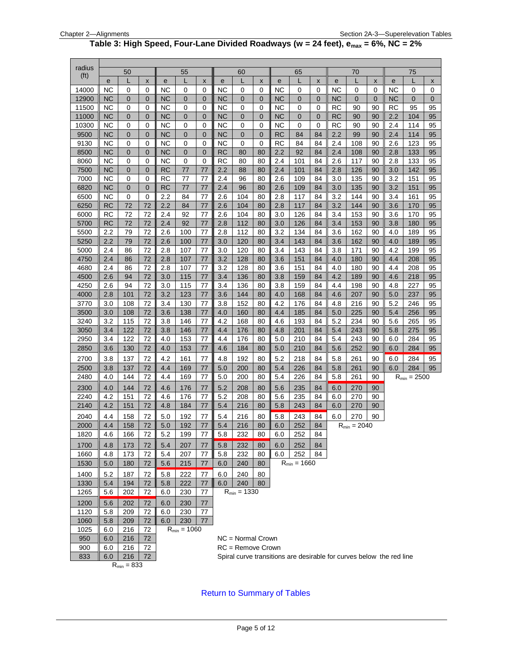#### **Table 3: High Speed, Four-Lane Divided Roadways (w = 24 feet), emax = 6%, NC = 2%**

<span id="page-4-0"></span>

| radius            |                        |                 |                |            |                   |                   |                        |                                                                      |                  |                        |                  |          |                 |                   |                  |                        |                  |          |
|-------------------|------------------------|-----------------|----------------|------------|-------------------|-------------------|------------------------|----------------------------------------------------------------------|------------------|------------------------|------------------|----------|-----------------|-------------------|------------------|------------------------|------------------|----------|
| (f <sup>t</sup> ) |                        | 50              |                |            | 55                |                   |                        | 60                                                                   |                  |                        | 65               |          |                 | 70                |                  |                        | 75               |          |
|                   | e                      | L               | X              | e          | L                 | X                 | е                      | L                                                                    | X                | е                      | L                | X        | e               | L                 | X                | е                      | L                | x        |
| 14000             | <b>NC</b><br><b>NC</b> | 0               | 0              | <b>NC</b>  | 0<br>$\mathbf{0}$ | 0<br>$\mathbf{0}$ | <b>NC</b><br><b>NC</b> | 0<br>0                                                               | 0<br>$\mathbf 0$ | <b>NC</b><br><b>NC</b> | 0                | 0        | NC              | 0<br>$\mathbf{0}$ | 0<br>$\mathbf 0$ | <b>NC</b><br><b>NC</b> | 0<br>0           | 0        |
| 12900<br>11500    | <b>NC</b>              | 0<br>0          | 0<br>0         | NС<br>NC   | 0                 | $\mathbf 0$       | ΝC                     | 0                                                                    | 0                | <b>NC</b>              | 0<br>0           | 0<br>0   | <b>NC</b><br>RC | 90                | 90               | <b>RC</b>              | 95               | 0<br>95  |
| 11000             | <b>NC</b>              | $\mathbf 0$     | $\overline{0}$ | <b>NC</b>  | $\mathbf{0}$      | $\mathbf{0}$      | <b>NC</b>              | $\overline{0}$                                                       | $\overline{0}$   | <b>NC</b>              | 0                | 0        | <b>RC</b>       | 90                | 90               | 2.2                    | 104              | 95       |
| 10300             | ΝC                     | 0               | 0              | ΝC         | 0                 | 0                 | NС                     | 0                                                                    | 0                | ΝC                     | 0                | 0        | RC              | 90                | 90               | 2.4                    | 114              | 95       |
| 9500              | <b>NC</b>              | $\mathbf{0}$    | $\mathbf{0}$   | <b>NC</b>  | $\overline{0}$    | $\mathbf 0$       | <b>NC</b>              | $\mathbf 0$                                                          | $\overline{0}$   | <b>RC</b>              | 84               | 84       | 2.2             | 99                | 90               | 2.4                    | 114              | 95       |
| 9130              | <b>NC</b>              | 0               | 0              | NC         | 0                 | $\mathbf 0$       | NC                     | 0                                                                    | $\mathbf 0$      | <b>RC</b>              | 84               | 84       | 2.4             | 108               | 90               | 2.6                    | 123              | 95       |
| 8500              | <b>NC</b>              | $\mathbf{0}$    | $\overline{0}$ | <b>NC</b>  | 0                 | $\mathbf 0$       | <b>RC</b>              | 80                                                                   | 80               | 2.2                    | 92               | 84       | 2.4             | 108               | 90               | 2.8                    | 133              | 95       |
| 8060              | NC                     | 0               | 0              | <b>NC</b>  | 0                 | 0                 | RC                     | 80                                                                   | 80               | 2.4                    | 101              | 84       | 2.6             | 117               | 90               | 2.8                    | 133              | 95       |
| 7500              | <b>NC</b>              | $\mathbf 0$     | $\mathbf 0$    | <b>RC</b>  | 77                | 77                | 2.2                    | 88                                                                   | 80               | 2.4                    | 101              | 84       | 2.8             | 126               | 90               | 3.0                    | 142              | 95       |
| 7000              | <b>NC</b>              | 0               | 0              | <b>RC</b>  | 77                | 77                | 2.4                    | 96                                                                   | 80               | 2.6                    | 109              | 84       | 3.0             | 135               | 90               | 3.2                    | 151              | 95       |
| 6820              | <b>NC</b>              | $\mathbf 0$     | $\mathbf 0$    | <b>RC</b>  | 77                | 77                | 2.4                    | 96                                                                   | 80               | 2.6                    | 109              | 84       | 3.0             | 135               | 90               | 3.2                    | 151              | 95       |
| 6500              | NC                     | 0               | 0              | 2.2        | 84                | 77                | 2.6                    | 104                                                                  | 80               | 2.8                    | 117              | 84       | 3.2             | 144               | 90               | 3.4                    | 161              | 95       |
| 6250              | <b>RC</b>              | 72              | 72             | 2.2        | 84                | 77                | 2.6                    | 104                                                                  | 80               | 2.8                    | 117              | 84       | 3.2             | 144               | 90               | 3.6                    | 170              | 95       |
| 6000              | RC                     | 72              | 72             | 2.4        | 92                | 77                | 2.6                    | 104                                                                  | 80               | 3.0                    | 126              | 84       | 3.4             | 153               | 90               | 3.6                    | 170              | 95       |
| 5700              | <b>RC</b>              | 72              | 72             | 2.4        | 92                | 77                | 2.8                    | 112                                                                  | 80               | 3.0                    | 126              | 84       | 3.4             | 153               | 90               | 3.8                    | 180              | 95       |
| 5500              | 2.2                    | 79              | 72             | 2.6        | 100               | 77                | 2.8                    | 112                                                                  | 80               | 3.2                    | 134              | 84       | 3.6             | 162               | 90               | 4.0                    | 189              | 95       |
| 5250              | 2.2                    | 79              | 72             | 2.6        | 100               | 77                | 3.0                    | 120                                                                  | 80               | 3.4                    | 143              | 84       | 3.6             | 162               | 90               | 4.0                    | 189              | 95       |
| 5000              | 2.4                    | 86              | 72             | 2.8        | 107               | 77                | 3.0                    | 120                                                                  | 80               | 3.4                    | 143              | 84       | 3.8             | 171               | 90               | 4.2                    | 199              | 95       |
| 4750<br>4680      | 2.4<br>2.4             | 86<br>86        | 72<br>72       | 2.8<br>2.8 | 107<br>107        | 77<br>77          | 3.2<br>3.2             | 128<br>128                                                           | 80<br>80         | 3.6<br>3.6             | 151<br>151       | 84<br>84 | 4.0<br>4.0      | 180<br>180        | 90<br>90         | 4.4<br>4.4             | 208<br>208       | 95<br>95 |
| 4500              | 2.6                    | 94              | 72             | 3.0        | 115               | 77                | 3.4                    | 136                                                                  | 80               | 3.8                    | 159              | 84       | 4.2             | 189               | 90               | 4.6                    | 218              | 95       |
| 4250              | 2.6                    | 94              | 72             | 3.0        | 115               | 77                | 3.4                    | 136                                                                  | 80               | 3.8                    | 159              | 84       | 4.4             | 198               | 90               | 4.8                    | 227              | 95       |
| 4000              | 2.8                    | 101             | 72             | 3.2        | 123               | 77                | 3.6                    | 144                                                                  | 80               | 4.0                    | 168              | 84       | 4.6             | 207               | 90               | 5.0                    | 237              | 95       |
| 3770              | 3.0                    | 108             | 72             | 3.4        | 130               | 77                | 3.8                    | 152                                                                  | 80               | 4.2                    | 176              | 84       | 4.8             | 216               | 90               | 5.2                    | 246              | 95       |
| 3500              | 3.0                    | 108             | 72             | 3.6        | 138               | 77                | 4.0                    | 160                                                                  | 80               | 4.4                    | 185              | 84       | 5.0             | 225               | 90               | 5.4                    | 256              | 95       |
| 3240              | 3.2                    | 115             | 72             | 3.8        | 146               | 77                | 4.2                    | 168                                                                  | 80               | 4.6                    | 193              | 84       | 5.2             | 234               | 90               | 5.6                    | 265              | 95       |
| 3050              | 3.4                    | 122             | 72             | 3.8        | 146               | 77                | 4.4                    | 176                                                                  | 80               | 4.8                    | 201              | 84       | 5.4             | 243               | 90               | 5.8                    | 275              | 95       |
| 2950              | 3.4                    | 122             | 72             | 4.0        | 153               | 77                | 4.4                    | 176                                                                  | 80               | 5.0                    | 210              | 84       | 5.4             | 243               | 90               | 6.0                    | 284              | 95       |
| 2850              | 3.6                    | 130             | 72             | 4.0        | 153               | 77                | 4.6                    | 184                                                                  | 80               | 5.0                    | 210              | 84       | 5.6             | 252               | 90               | 6.0                    | 284              | 95       |
| 2700              | 3.8                    | 137             | 72             | 4.2        | 161               | 77                | 4.8                    | 192                                                                  | 80               | 5.2                    | 218              | 84       | 5.8             | 261               | 90               | 6.0                    | 284              | 95       |
| 2500              | 3.8                    | 137             | 72             | 4.4        | 169               | 77                | 5.0                    | 200                                                                  | 80               | 5.4                    | 226              | 84       | 5.8             | 261               | 90               | 6.0                    | 284              | 95       |
| 2480              | 4.0                    | 144             | 72             | 4.4        | 169               | 77                | 5.0                    | 200                                                                  | 80               | 5.4                    | 226              | 84       | 5.8             | 261               | 90               |                        | $R_{min} = 2500$ |          |
| 2300              | 4.0                    | 144             | 72             | 4.6        | 176               | 77                | 5.2                    | 208                                                                  | 80               | 5.6                    | 235              | 84       | 6.0             | 270               | 90               |                        |                  |          |
| 2240              | 4.2                    | 151             | 72             | 4.6        | 176               | 77                | 5.2                    | 208                                                                  | 80               | 5.6                    | 235              | 84       | 6.0             | 270               | 90               |                        |                  |          |
| 2140              | 4.2                    | 151             | 72             | 4.8        | 184               | 77                | 5.4                    | 216                                                                  | 80               | 5.8                    | 243              | 84       | 6.0             | 270               | 90               |                        |                  |          |
| 2040              | 4.4                    | 158             | 72             | 5.0        | 192               | 77                | 5.4                    | 216                                                                  | 80               | 5.8                    | 243              | 84       | 6.0             | 270               | 90               |                        |                  |          |
| 2000              | 4.4                    | 158             | 72             | 5.0        | 192               | 77                | 5.4                    | 216                                                                  | 80               | 6.0                    | 252              | 84       |                 | $R_{min} = 2040$  |                  |                        |                  |          |
| 1820              | 4.6                    | 166             | 72             | $5.2\,$    | 199               | $77\,$            |                        | $\overline{5.8}$ 232 80                                              |                  | 6.0                    | 252              | 84       |                 |                   |                  |                        |                  |          |
| 1700              | 4.8                    | 173             | 72             | 5.4        | 207               | 77                | 5.8                    | 232                                                                  | 80               | 6.0                    | 252              | 84       |                 |                   |                  |                        |                  |          |
| 1660              | 4.8                    | 173             | 72             | 5.4        | 207               | 77                | 5.8                    | 232                                                                  | 80               | 6.0                    | 252              | 84       |                 |                   |                  |                        |                  |          |
| 1530              | 5.0                    | 180             | 72             | 5.6        | 215               | 77                | 6.0                    | 240                                                                  | 80               |                        | $R_{min} = 1660$ |          |                 |                   |                  |                        |                  |          |
| 1400              | 5.2                    | 187             | 72             | 5.8        | 222               | 77                | 6.0                    | 240                                                                  | 80               |                        |                  |          |                 |                   |                  |                        |                  |          |
| 1330              | 5.4                    | 194             | 72             | 5.8        | 222               | 77                | 6.0                    | 240                                                                  | 80               |                        |                  |          |                 |                   |                  |                        |                  |          |
| 1265              | 5.6                    | 202             | 72             | 6.0        | 230               | 77                |                        | $R_{min} = 1330$                                                     |                  |                        |                  |          |                 |                   |                  |                        |                  |          |
| 1200              | 5.6                    | 202             | 72             | 6.0        | 230               |                   |                        |                                                                      |                  |                        |                  |          |                 |                   |                  |                        |                  |          |
| 1120              | 5.8                    | 209             | 72             | 6.0        | 230               | 77<br>77          |                        |                                                                      |                  |                        |                  |          |                 |                   |                  |                        |                  |          |
| 1060              | 5.8                    | 209             | 72             | 6.0        | 230               | 77                |                        |                                                                      |                  |                        |                  |          |                 |                   |                  |                        |                  |          |
| 1025              | 6.0                    | 216             | 72             |            | $R_{min} = 1060$  |                   |                        |                                                                      |                  |                        |                  |          |                 |                   |                  |                        |                  |          |
| 950               | 6.0                    | 216             | 72             |            |                   |                   |                        | $NC = Normal Crown$                                                  |                  |                        |                  |          |                 |                   |                  |                        |                  |          |
| 900               | 6.0                    | 216             | 72             |            |                   |                   |                        | $RC =$ Remove Crown                                                  |                  |                        |                  |          |                 |                   |                  |                        |                  |          |
| 833               | 6.0                    | 216             | 72             |            |                   |                   |                        | Spiral curve transitions are desirable for curves below the red line |                  |                        |                  |          |                 |                   |                  |                        |                  |          |
|                   |                        | $R_{min} = 833$ |                |            |                   |                   |                        |                                                                      |                  |                        |                  |          |                 |                   |                  |                        |                  |          |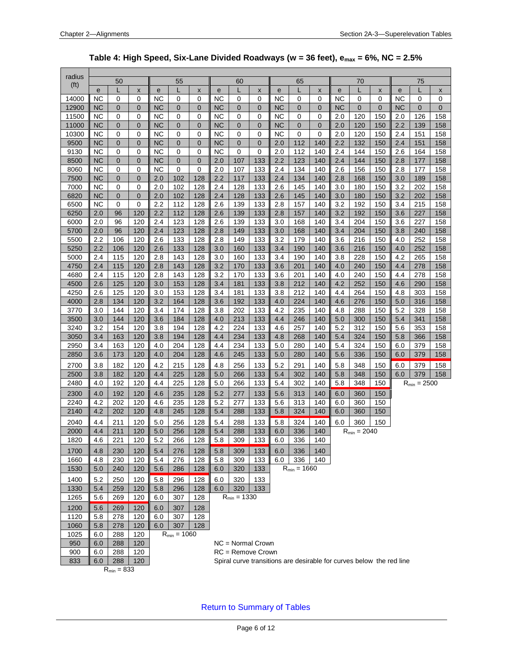<span id="page-5-0"></span>

| radius            |            | 50             |                |            | 55               |                |            | 60               |                     |            | 65               |                |            | 70               |                                                                      |            | 75               |                |
|-------------------|------------|----------------|----------------|------------|------------------|----------------|------------|------------------|---------------------|------------|------------------|----------------|------------|------------------|----------------------------------------------------------------------|------------|------------------|----------------|
| (f <sup>t</sup> ) | e          | L              | X              | e          |                  | X              | е          |                  | X                   | e          | L                | X              | e          | L                | X                                                                    | e          | L                | X              |
| 14000             | <b>NC</b>  | 0              | 0              | <b>NC</b>  | 0                | $\mathbf 0$    | <b>NC</b>  | 0                | 0                   | <b>NC</b>  | 0                | 0              | <b>NC</b>  | 0                | 0                                                                    | <b>NC</b>  | 0                | 0              |
| 12900             | <b>NC</b>  | $\overline{0}$ | $\overline{0}$ | <b>NC</b>  | $\mathbf 0$      | $\overline{0}$ | <b>NC</b>  | $\mathbf 0$      | $\overline{0}$      | <b>NC</b>  | $\overline{0}$   | $\overline{0}$ | <b>NC</b>  | $\overline{0}$   | $\overline{0}$                                                       | <b>NC</b>  | $\overline{0}$   | $\overline{0}$ |
| 11500             | <b>NC</b>  | 0              | 0              | <b>NC</b>  | 0                | 0              | <b>NC</b>  | 0                | 0                   | <b>NC</b>  | 0                | 0              | 2.0        | 120              | 150                                                                  | 2.0        | 126              | 158            |
| 11000             | <b>NC</b>  | $\overline{0}$ | $\overline{0}$ | <b>NC</b>  | $\overline{0}$   | $\overline{0}$ | <b>NC</b>  | $\overline{0}$   | $\overline{0}$      | <b>NC</b>  | $\overline{0}$   | $\overline{0}$ | 2.0        | 120              | 150                                                                  | 2.2        | 139              | 158            |
| 10300             | <b>NC</b>  | 0              | 0              | <b>NC</b>  | 0                | 0              | <b>NC</b>  | 0                | 0                   | <b>NC</b>  | 0                | $\Omega$       | 2.0        | 120              | 150                                                                  | 2.4        | 151              | 158            |
| 9500              | <b>NC</b>  | $\overline{0}$ | $\overline{0}$ | <b>NC</b>  | $\overline{0}$   | $\overline{0}$ | NC         | 0                | $\overline{0}$      | 2.0        | 112              | 140            | 2.2        | 132              | 150                                                                  | 2.4        | 151              | 158            |
| 9130              | ΝC         | 0              | 0              | NC         | 0                | $\mathbf 0$    | <b>NC</b>  | 0                | 0                   | 2.0        | 112              | 140            | 2.4        | 144              | 150                                                                  | 2.6        | 164              | 158            |
| 8500              | <b>NC</b>  | 0              | $\mathbf 0$    | <b>NC</b>  | $\mathbf 0$      | $\mathbf 0$    | 2.0        | 107              | 133                 | 2.2        | 123              | 140            | 2.4        | 144              | 150                                                                  | 2.8        | 177              | 158            |
| 8060              | ΝC         | 0              | 0              | <b>NC</b>  | 0                | 0              | 2.0        | 107              | 133                 | 2.4        | 134              | 140            | 2.6        | 156              | 150                                                                  | 2.8        | 177              | 158            |
| 7500              | <b>NC</b>  | 0              | $\overline{0}$ | 2.0        | 102              | 128            | 2.2        | 117              | 133                 | 2.4        | 134              | 140            | 2.8        | 168              | 150                                                                  | 3.0        | 189              | 158            |
| 7000              | ΝC         | 0              | 0              | 2.0        | 102              | 128            | 2.4        | 128              | 133                 | 2.6        | 145              | 140            | 3.0        | 180              | 150                                                                  | 3.2        | 202              | 158            |
| 6820              | <b>NC</b>  | $\overline{0}$ | 0              | 2.0        | 102              | 128            | 2.4        | 128              | 133                 | 2.6        | 145              | 140            | 3.0        | 180              | 150                                                                  | 3.2        | 202              | 158            |
| 6500              | ΝC         | 0              | 0              | 2.2        | 112              | 128            | 2.6        | 139              | 133                 | 2.8        | 157              | 140            | 3.2        | 192              | 150                                                                  | 3.4        | 215              | 158            |
| 6250              | 2.0        | 96             | 120            | 2.2        | 112              | 128            | 2.6        | 139              | 133                 | 2.8        | 157              | 140            | 3.2        | 192              | 150                                                                  | 3.6        | 227              | 158            |
| 6000              | 2.0        | 96             | 120            | 2.4        | 123              | 128            | 2.6        | 139              | 133                 | 3.0        | 168              | 140            | 3.4        | 204              | 150                                                                  | 3.6        | 227              | 158            |
| 5700              | 2.0        | 96             | 120            | 2.4        | 123              | 128            | 2.8        | 149              | 133                 | 3.0        | 168              | 140            | 3.4        | 204              | 150                                                                  | 3.8        | 240              | 158            |
| 5500              | 2.2        | 106            | 120            | 2.6        | 133              | 128            | 2.8        | 149              | 133                 | 3.2        | 179              | 140            | 3.6        | 216              | 150                                                                  | 4.0        | 252              | 158            |
| 5250              | 2.2        | 106            | 120            | 2.6        | 133              | 128            | 3.0        | 160              | 133                 | 3.4        | 190              | 140            | 3.6        | 216              | 150                                                                  | 4.0        | 252              | 158            |
| 5000              | 2.4        | 115            | 120            | 2.8        | 143              | 128            | 3.0        | 160              | 133                 | 3.4        | 190              | 140            | 3.8        | 228              | 150                                                                  | 4.2        | 265              | 158            |
| 4750<br>4680      | 2.4<br>2.4 | 115<br>115     | 120<br>120     | 2.8<br>2.8 | 143<br>143       | 128<br>128     | 3.2<br>3.2 | 170<br>170       | 133<br>133          | 3.6<br>3.6 | 201<br>201       | 140<br>140     | 4.0<br>4.0 | 240<br>240       | 150<br>150                                                           | 4.4<br>4.4 | 278<br>278       | 158<br>158     |
| 4500              | 2.6        | 125            | 120            | 3.0        | 153              | 128            | 3.4        | 181              | 133                 | 3.8        | 212              | 140            | 4.2        | 252              | 150                                                                  | 4.6        | 290              | 158            |
| 4250              | 2.6        | 125            | 120            | 3.0        | 153              | 128            | 3.4        | 181              | 133                 | 3.8        | 212              | 140            | 4.4        | 264              | 150                                                                  | 4.8        | 303              | 158            |
| 4000              | 2.8        | 134            | 120            | 3.2        | 164              | 128            | 3.6        | 192              | 133                 | 4.0        | 224              | 140            | 4.6        | 276              | 150                                                                  | 5.0        | 316              | 158            |
| 3770              | 3.0        | 144            | 120            | 3.4        | 174              | 128            | 3.8        | 202              | 133                 | 4.2        | 235              | 140            | 4.8        | 288              | 150                                                                  | 5.2        | 328              | 158            |
| 3500              | 3.0        | 144            | 120            | 3.6        | 184              | 128            | 4.0        | 213              | 133                 | 4.4        | 246              | 140            | 5.0        | 300              | 150                                                                  | 5.4        | 341              | 158            |
| 3240              | 3.2        | 154            | 120            | 3.8        | 194              | 128            | 4.2        | 224              | 133                 | 4.6        | 257              | 140            | 5.2        | 312              | 150                                                                  | 5.6        | 353              | 158            |
| 3050              | 3.4        | 163            | 120            | 3.8        | 194              | 128            | 4.4        | 234              | 133                 | 4.8        | 268              | 140            | 5.4        | 324              | 150                                                                  | 5.8        | 366              | 158            |
| 2950              | 3.4        | 163            | 120            | 4.0        | 204              | 128            | 4.4        | 234              | 133                 | 5.0        | 280              | 140            | 5.4        | 324              | 150                                                                  | 6.0        | 379              | 158            |
| 2850              | 3.6        | 173            | 120            | 4.0        | 204              | 128            | 4.6        | 245              | 133                 | 5.0        | 280              | 140            | 5.6        | 336              | 150                                                                  | 6.0        | 379              | 158            |
| 2700              | 3.8        | 182            | 120            | 4.2        | 215              | 128            | 4.8        | 256              | 133                 | 5.2        | 291              | 140            | 5.8        | 348              | 150                                                                  | 6.0        | 379              | 158            |
| 2500              | 3.8        | 182            | 120            | 4.4        | 225              | 128            | 5.0        | 266              | 133                 | 5.4        | 302              | 140            | 5.8        | 348              | 150                                                                  | 6.0        | 379              | 158            |
| 2480              | 4.0        | 192            | 120            | 4.4        | 225              | 128            | 5.0        | 266              | 133                 | 5.4        | 302              | 140            | 5.8        | 348              | 150                                                                  |            | $R_{min} = 2500$ |                |
| 2300              | 4.0        | 192            | 120            | 4.6        | 235              | 128            | 5.2        | 277              | 133                 | 5.6        | 313              | 140            | 6.0        | 360              | 150                                                                  |            |                  |                |
| 2240              | 4.2        | 202            | 120            | 4.6        | 235              | 128            | 5.2        | 277              | 133                 | 5.6        | 313              | 140            | 6.0        | 360              | 150                                                                  |            |                  |                |
| 2140              | 4.2        | 202            | 120            | 4.8        | 245              | 128            | 5.4        | 288              | 133                 | 5.8        | 324              | 140            | 6.0        | 360              | 150                                                                  |            |                  |                |
| 2040              | 4.4        | 211            | 120            | 5.0        | 256              | 128            | 5.4        | 288              | 133                 | 5.8        | 324              | 140            | 6.0        | 360              | 150                                                                  |            |                  |                |
| 2000              | 4.4        | 211            | 120            | 5.0        | 256              | 128            | 5.4        | 288              | 133                 | 6.0        | 336              | 140            |            | $R_{min} = 2040$ |                                                                      |            |                  |                |
| 1820              | 4.6        | 221            | 120            | 5.2        | 266              | 128            | 5.8        | 309              | 133                 | 6.0        | 336              | 140            |            |                  |                                                                      |            |                  |                |
| 1700              | 4.8        | 230            | 120            | $5.4$      | 276              | 128            |            | $5.8$ 309 133    |                     | $6.0\,$    | 336              | 140            |            |                  |                                                                      |            |                  |                |
| 1660              | 4.8        | 230            | 120            | 5.4        | 276              | 128            | 5.8        | 309              | 133                 | 6.0        | 336              | 140            |            |                  |                                                                      |            |                  |                |
| 1530              | 5.0        | 240            | 120            | 5.6        | 286              | 128            | 6.0        | 320              | 133                 |            | $R_{min} = 1660$ |                |            |                  |                                                                      |            |                  |                |
| 1400              | 5.2        | 250            | 120            | 5.8        | 296              | 128            | 6.0        | 320              | 133                 |            |                  |                |            |                  |                                                                      |            |                  |                |
| 1330              | 5.4        | 259            | 120            | 5.8        | 296              | 128            | 6.0        | 320              | 133                 |            |                  |                |            |                  |                                                                      |            |                  |                |
| 1265              | 5.6        | 269            | 120            | 6.0        | 307              | 128            |            | $R_{min} = 1330$ |                     |            |                  |                |            |                  |                                                                      |            |                  |                |
| 1200              | 5.6        | 269            | 120            | 6.0        | 307              | 128            |            |                  |                     |            |                  |                |            |                  |                                                                      |            |                  |                |
| 1120              | 5.8        | 278            | 120            | 6.0        | 307              | 128            |            |                  |                     |            |                  |                |            |                  |                                                                      |            |                  |                |
| 1060              | 5.8        | 278            | 120            | 6.0        | 307              | 128            |            |                  |                     |            |                  |                |            |                  |                                                                      |            |                  |                |
| 1025              | 6.0        | 288            | 120            |            | $R_{min} = 1060$ |                |            |                  |                     |            |                  |                |            |                  |                                                                      |            |                  |                |
| 950               | 6.0        | 288            | 120            |            |                  |                |            |                  | $NC = Normal Crown$ |            |                  |                |            |                  |                                                                      |            |                  |                |
| 900               | 6.0        | 288            | 120            |            |                  |                |            |                  | $RC =$ Remove Crown |            |                  |                |            |                  |                                                                      |            |                  |                |
| 833               | 6.0        | 288            | 120            |            |                  |                |            |                  |                     |            |                  |                |            |                  | Spiral curve transitions are desirable for curves below the red line |            |                  |                |

#### **Table 4: High Speed, Six-Lane Divided Roadways (w = 36 feet), emax = 6%, NC = 2.5%**

 $R_{min} = 833$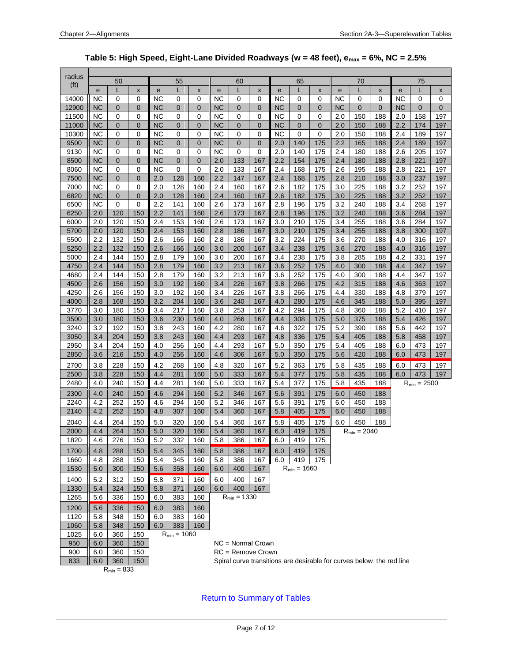<span id="page-6-0"></span>

| radius            |           |                 |                |           |                  |                |           |                     |                |           |                  |                |     |                  |                                                                      |           |                  |                |
|-------------------|-----------|-----------------|----------------|-----------|------------------|----------------|-----------|---------------------|----------------|-----------|------------------|----------------|-----|------------------|----------------------------------------------------------------------|-----------|------------------|----------------|
| (f <sub>t</sub> ) |           | 50              |                |           | 55               |                |           | 60                  |                |           | 65               |                |     | 70               |                                                                      |           | 75               |                |
|                   | e         | L               | X              | e         |                  | X              | e         | L                   | X              | e         | L                | X              | e   | L                | X                                                                    | e         | L                | $\pmb{\times}$ |
| 14000             | <b>NC</b> | 0               | 0              | NC        | 0                | 0              | <b>NC</b> | 0                   | 0              | NC        | 0                | 0              | ΝC  | 0                | 0                                                                    | NC        | 0                | 0              |
| 12900             | <b>NC</b> | $\mathbf{0}$    | $\overline{0}$ | <b>NC</b> | $\mathbf 0$      | $\overline{0}$ | <b>NC</b> | 0                   | $\mathbf 0$    | <b>NC</b> | 0                | $\overline{0}$ | NC  | $\mathbf{0}$     | $\overline{0}$                                                       | <b>NC</b> | $\overline{0}$   | $\overline{0}$ |
| 11500             | NC        | 0               | 0              | <b>NC</b> | 0                | 0              | NC        | 0                   | 0              | NC        | 0                | 0              | 2.0 | 150              | 188                                                                  | 2.0       | 158              | 197            |
| 11000             | NC        | $\mathbf 0$     | $\overline{0}$ | <b>NC</b> | $\mathbf{0}$     | $\overline{0}$ | NC        | $\overline{0}$      | $\overline{0}$ | <b>NC</b> | $\overline{0}$   | $\overline{0}$ | 2.0 | 150              | 188                                                                  | 2.2       | 174              | 197            |
| 10300             | NC        | 0               | 0              | NC        | 0                | 0              | NC        | 0                   | 0              | NC        | 0                | 0              | 2.0 | 150              | 188                                                                  | 2.4       | 189              | 197            |
| 9500              | <b>NC</b> | $\mathbf 0$     | $\overline{0}$ | <b>NC</b> | $\mathbf{0}$     | $\overline{0}$ | <b>NC</b> | 0                   | 0              | 2.0       | 140              | 175            | 2.2 | 165              | 188                                                                  | 2.4       | 189              | 197            |
| 9130              | NC        | 0               | 0              | ΝC        | 0                | 0              | NC        | 0                   | 0              | 2.0       | 140              | 175            | 2.4 | 180              | 188                                                                  | 2.6       | 205              | 197            |
| 8500              | ΝC        | $\mathbf 0$     | $\mathbf 0$    | <b>NC</b> | $\mathbf{0}$     | $\overline{0}$ | 2.0       | 133                 | 167            | 2.2       | 154              | 175            | 2.4 | 180              | 188                                                                  | 2.8       | 221              | 197            |
| 8060              | NC        | 0               | 0              | ΝC        | 0                | 0              | 2.0       | 133                 | 167            | 2.4       | 168              | 175            | 2.6 | 195              | 188                                                                  | 2.8       | 221              | 197            |
| 7500              | <b>NC</b> | $\mathbf 0$     | $\mathbf 0$    | 2.0       | 128              | 160            | 2.2       | 147                 | 167            | 2.4       | 168              | 175            | 2.8 | 210              | 188                                                                  | 3.0       | 237              | 197            |
| 7000              | NC        | 0               | 0              | 2.0       | 128              | 160            | 2.4       | 160                 | 167            | 2.6       | 182              | 175            | 3.0 | 225              | 188                                                                  | 3.2       | 252              | 197            |
| 6820              | <b>NC</b> | $\overline{0}$  | 0              | 2.0       | 128              | 160            | 2.4       | 160                 | 167            | 2.6       | 182              | 175            | 3.0 | 225              | 188                                                                  | 3.2       | 252              | 197            |
| 6500              | NC        | 0               | 0              | 2.2       | 141              | 160            | 2.6       | 173                 | 167            | 2.8       | 196              | 175            | 3.2 | 240              | 188                                                                  | 3.4       | 268              | 197            |
| 6250              | 2.0       | 120             | 150            | 2.2       | 141              | 160            | 2.6       | 173                 | 167            | 2.8       | 196              | 175            | 3.2 | 240              | 188                                                                  | 3.6       | 284              | 197            |
| 6000              | 2.0       | 120             | 150            | 2.4       | 153              | 160            | 2.6       | 173                 | 167            | 3.0       | 210              | 175            | 3.4 | 255              | 188                                                                  | 3.6       | 284              | 197            |
| 5700              | 2.0       | 120             | 150            | 2.4       | 153              | 160            | 2.8       | 186                 | 167            | 3.0       | 210              | 175            | 3.4 | 255              | 188                                                                  | 3.8       | 300              | 197            |
| 5500              | 2.2       | 132             | 150            | 2.6       | 166              | 160            | 2.8       | 186                 | 167            | 3.2       | 224              | 175            | 3.6 | 270              | 188                                                                  | 4.0       | 316              | 197            |
| 5250              | 2.2       | 132             | 150            | 2.6       | 166              | 160            | 3.0       | 200                 | 167            | 3.4       | 238              | 175            | 3.6 | 270              | 188                                                                  | 4.0       | 316              | 197            |
| 5000              | 2.4       | 144             | 150            | 2.8       | 179              | 160            | 3.0       | 200                 | 167            | 3.4       | 238              | 175            | 3.8 | 285              | 188                                                                  | 4.2       | 331              | 197            |
| 4750              | 2.4       | 144             | 150            | 2.8       | 179              | 160            | 3.2       | 213                 | 167            | 3.6       | 252              | 175            | 4.0 | 300              | 188                                                                  | 4.4       | 347              | 197            |
| 4680              | 2.4       | 144             | 150            | 2.8       | 179              | 160            | 3.2       | 213                 | 167            | 3.6       | 252              | 175            | 4.0 | 300              | 188                                                                  | 4.4       | 347              | 197            |
| 4500              | 2.6       | 156             | 150            | 3.0       | 192              | 160            | 3.4       | 226                 | 167            | 3.8       | 266              | 175            | 4.2 | 315              | 188                                                                  | 4.6       | 363              | 197            |
| 4250              | 2.6       | 156             | 150            | 3.0       | 192              | 160            | 3.4       | 226                 | 167            | 3.8       | 266              | 175            | 4.4 | 330              | 188                                                                  | 4.8       | 379              | 197            |
| 4000              | 2.8       | 168             | 150            | 3.2       | 204              | 160            | 3.6       | 240                 | 167            | 4.0       | 280              | 175            | 4.6 | 345              | 188                                                                  | 5.0       | 395              | 197            |
| 3770              | 3.0       | 180             | 150            | 3.4       | 217              | 160            | 3.8       | 253                 | 167            | 4.2       | 294              | 175            | 4.8 | 360              | 188                                                                  | 5.2       | 410              | 197            |
| 3500              | 3.0       | 180             | 150            | 3.6       | 230              | 160            | 4.0       | 266                 | 167            | 4.4       | 308              | 175            | 5.0 | 375              | 188                                                                  | 5.4       | 426              | 197            |
| 3240              | 3.2       | 192             | 150            | 3.8       | 243              | 160            | 4.2       | 280                 | 167            | 4.6       | 322              | 175            | 5.2 | 390              | 188                                                                  | 5.6       | 442              | 197            |
| 3050              | 3.4       | 204             | 150            | 3.8       | 243              | 160            | 4.4       | 293                 | 167            | 4.8       | 336              | 175            | 5.4 | 405              | 188                                                                  | 5.8       | 458              | 197            |
| 2950              | 3.4       | 204             | 150            | 4.0       | 256              | 160            | 4.4       | 293                 | 167            | 5.0       | 350              | 175            | 5.4 | 405              | 188                                                                  | 6.0       | 473              | 197            |
| 2850              | 3.6       | 216             | 150            | 4.0       | 256              | 160            | 4.6       | 306                 | 167            | 5.0       | 350              | 175            | 5.6 | 420              | 188                                                                  | 6.0       | 473              | 197            |
| 2700              | 3.8       | 228             | 150            | 4.2       | 268              | 160            | 4.8       | 320                 | 167            | 5.2       | 363              | 175            | 5.8 | 435              | 188                                                                  | 6.0       | 473              | 197            |
| 2500              | 3.8       | 228             | 150            | 4.4       | 281              | 160            | 5.0       | 333                 | 167            | 5.4       | 377              | 175            | 5.8 | 435              | 188                                                                  | 6.0       | 473              | 197            |
| 2480              | 4.0       | 240             | 150            | 4.4       | 281              | 160            | 5.0       | 333                 | 167            | 5.4       | 377              | 175            | 5.8 | 435              | 188                                                                  |           | $R_{min} = 2500$ |                |
| 2300              | 4.0       | 240             | 150            | 4.6       | 294              | 160            | 5.2       | 346                 | 167            | 5.6       | 391              | 175            | 6.0 | 450              | 188                                                                  |           |                  |                |
| 2240              | 4.2       | 252             | 150            | 4.6       | 294              | 160            | 5.2       | 346                 | 167            | 5.6       | 391              | 175            | 6.0 | 450              | 188                                                                  |           |                  |                |
| 2140              | 4.2       | 252             | 150            | 4.8       | 307              | 160            | 5.4       | 360                 | 167            | 5.8       | 405              | 175            | 6.0 | 450              | 188                                                                  |           |                  |                |
|                   |           |                 |                |           |                  |                |           |                     |                |           |                  |                |     |                  |                                                                      |           |                  |                |
| 2040              | 4.4       | 264             | 150            | 5.0       | 320              | 160            | 5.4       | 360                 | 167            | 5.8       | 405              | 175            | 6.0 | 450              | 188                                                                  |           |                  |                |
| 2000              | 4.4       | 264             | 150            | 5.0       | 320              | 160            | 5.4       | 360                 | 167            | 6.0       | 419              | 175            |     | $R_{min} = 2040$ |                                                                      |           |                  |                |
| 1820              | 4.6       | 276             | 150            | $5.2\,$   | 332              | 160            |           | 5.8 386 167         |                | 6.0       | 419              | 175            |     |                  |                                                                      |           |                  |                |
| 1700              | 4.8       | 288             | 150            | 5.4       | 345              | 160            | 5.8       | 386                 | 167            | 6.0       | 419              | 175            |     |                  |                                                                      |           |                  |                |
| 1660              | 4.8       | 288             | 150            | 5.4       | 345              | 160            | 5.8       | 386                 | 167            | 6.0       | 419              | 175            |     |                  |                                                                      |           |                  |                |
| 1530              | 5.0       | 300             | 150            | 5.6       | 358              | 160            | 6.0       | 400                 | 167            |           | $R_{min} = 1660$ |                |     |                  |                                                                      |           |                  |                |
| 1400              | 5.2       | 312             | 150            | 5.8       | 371              | 160            | 6.0       | 400                 | 167            |           |                  |                |     |                  |                                                                      |           |                  |                |
| 1330              | 5.4       | 324             | 150            | 5.8       | 371              | 160            | 6.0       | 400                 | 167            |           |                  |                |     |                  |                                                                      |           |                  |                |
| 1265              | 5.6       | 336             | 150            | 6.0       | 383              | 160            |           | $R_{min} = 1330$    |                |           |                  |                |     |                  |                                                                      |           |                  |                |
| 1200              | 5.6       | 336             | 150            | 6.0       | 383              | 160            |           |                     |                |           |                  |                |     |                  |                                                                      |           |                  |                |
| 1120              | 5.8       | 348             | 150            | 6.0       | 383              | 160            |           |                     |                |           |                  |                |     |                  |                                                                      |           |                  |                |
| 1060              | 5.8       | 348             | 150            | 6.0       | 383              | 160            |           |                     |                |           |                  |                |     |                  |                                                                      |           |                  |                |
| 1025              | 6.0       | 360             | 150            |           | $R_{min} = 1060$ |                |           |                     |                |           |                  |                |     |                  |                                                                      |           |                  |                |
| 950               | 6.0       | 360             | 150            |           |                  |                |           | $NC = Normal Crown$ |                |           |                  |                |     |                  |                                                                      |           |                  |                |
| 900               | 6.0       | 360             | 150            |           |                  |                |           | $RC =$ Remove Crown |                |           |                  |                |     |                  |                                                                      |           |                  |                |
| 833               | 6.0       | 360             | 150            |           |                  |                |           |                     |                |           |                  |                |     |                  | Spiral curve transitions are desirable for curves below the red line |           |                  |                |
|                   |           | $R_{min} = 833$ |                |           |                  |                |           |                     |                |           |                  |                |     |                  |                                                                      |           |                  |                |

**Table 5: High Speed, Eight-Lane Divided Roadways (w = 48 feet), emax = 6%, NC = 2.5%**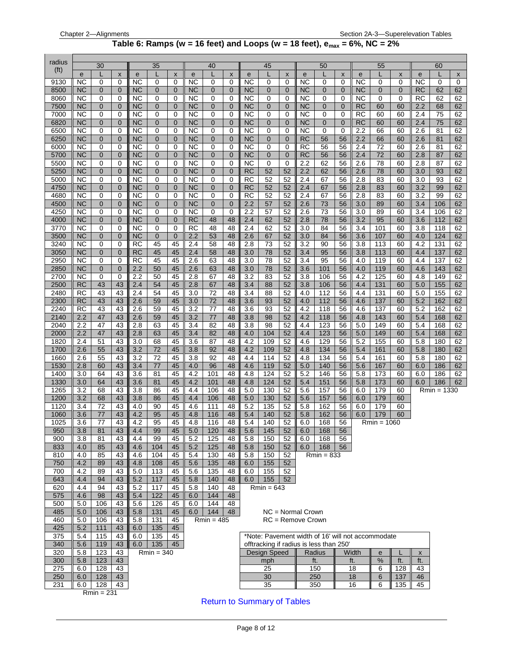#### **Table 6:** Ramps (w = 16 feet) and Loops (w = 18 feet),  $e_{max} = 6\%$ , NC =  $2\%$

<span id="page-7-0"></span>

| radius            |                        |                     |                      |                        |                     |                               |                        |                   |                |                        |                     |                           |                        |                                         |                           |                 |                                                   |          |            |                      |          |
|-------------------|------------------------|---------------------|----------------------|------------------------|---------------------|-------------------------------|------------------------|-------------------|----------------|------------------------|---------------------|---------------------------|------------------------|-----------------------------------------|---------------------------|-----------------|---------------------------------------------------|----------|------------|----------------------|----------|
| (f <sup>t</sup> ) | $\mathbf e$            | 30<br>L             | X                    | e                      | 35                  | $\pmb{\times}$                | e                      | 40                | X              | e                      | 45<br>L             | $\boldsymbol{\mathsf{x}}$ | e                      | 50<br>L                                 | $\boldsymbol{\mathsf{x}}$ | e               | 55<br>L                                           | X        | e          | 60                   | X        |
| 9130              | <b>NC</b>              | 0                   | 0                    | <b>NC</b>              | 0                   | $\mathbf 0$                   | <b>NC</b>              | 0                 | 0              | <b>NC</b>              | 0                   | $\mathbf 0$               | <b>NC</b>              | 0                                       | 0                         | <b>NC</b>       | 0                                                 | 0        | <b>NC</b>  | 0                    | 0        |
| 8500              | <b>NC</b>              | 0                   | 0                    | NС                     | 0                   | 0                             | NC                     | 0                 | 0              | <b>NC</b>              | 0                   | 0                         | <b>NC</b>              | 0                                       | $\mathbf 0$               | NС              | 0                                                 | 0        | RC         | 62                   | 62       |
| 8060              | <b>NC</b>              | 0                   | 0                    | <b>NC</b>              | 0                   | $\Omega$                      | <b>NC</b>              | 0                 | $\Omega$       | <b>NC</b>              | 0                   | $\mathbf 0$               | <b>NC</b>              | 0                                       | $\mathbf 0$               | <b>NC</b>       | $\Omega$                                          | $\Omega$ | RC         | 62                   | 62       |
| 7500              | <b>NC</b>              | $\overline{0}$      | $\mathbf 0$          | NC                     | 0                   | $\overline{0}$                | NC                     | 0                 | 0              | <b>NC</b>              | $\overline{0}$      | 0                         | <b>NC</b>              | $\overline{0}$                          | $\mathbf 0$               | RC              | 60                                                | 60       | 2.2        | 68                   | 62       |
| 7000<br>6820      | <b>NC</b><br><b>NC</b> | 0<br>$\mathbf 0$    | 0<br>$\mathbf 0$     | <b>NC</b><br><b>NC</b> | 0<br>0              | $\mathbf 0$<br>$\overline{0}$ | <b>NC</b><br><b>NC</b> | 0<br>$\mathbf{0}$ | 0<br>0         | <b>NC</b><br><b>NC</b> | 0<br>$\overline{0}$ | 0<br>$\mathbf 0$          | <b>NC</b><br><b>NC</b> | 0<br>$\overline{0}$                     | 0<br>$\overline{0}$       | RC<br><b>RC</b> | 60<br>60                                          | 60<br>60 | 2.4<br>2.4 | 75<br>75             | 62<br>62 |
| 6500              | <b>NC</b>              | 0                   | 0                    | <b>NC</b>              | 0                   | $\Omega$                      | <b>NC</b>              | 0                 | 0              | <b>NC</b>              | 0                   | $\mathbf 0$               | <b>NC</b>              | 0                                       | 0                         | 2.2             | 66                                                | 60       | 2.6        | 81                   | 62       |
| 6250              | <b>NC</b>              | 0                   | $\overline{0}$       | <b>NC</b>              | $\mathbf{0}$        | $\overline{0}$                | <b>NC</b>              | 0                 | $\overline{0}$ | <b>NC</b>              | $\overline{0}$      | $\mathbf 0$               | <b>RC</b>              | 56                                      | 56                        | 2.2             | 66                                                | 60       | 2.6        | 81                   | 62       |
| 6000              | <b>NC</b>              | 0                   | 0                    | <b>NC</b>              | 0                   | 0                             | NC                     | 0                 | 0              | NC                     | 0                   | $\mathbf 0$               | <b>RC</b>              | 56                                      | 56                        | 2.4             | 72                                                | 60       | 2.6        | 81                   | 62       |
| 5700              | <b>NC</b>              | 0                   | $\overline{0}$       | NC                     | 0                   | $\mathbf 0$                   | NC                     | 0                 | 0              | <b>NC</b>              | 0                   | $\mathbf{0}$              | <b>RC</b>              | 56                                      | 56                        | 2.4             | 72                                                | 60       | 2.8        | 87                   | 62       |
| 5500<br>5250      | <b>NC</b><br><b>NC</b> | 0<br>$\overline{0}$ | 0<br>$\Omega$        | <b>NC</b><br>NC        | 0<br>$\overline{0}$ | 0<br>$\overline{0}$           | <b>NC</b><br>NC        | 0<br>0            | 0<br>0         | <b>NC</b><br><b>RC</b> | 0<br>52             | $\mathbf 0$<br>52         | 2.2<br>2.2             | 62<br>62                                | 56<br>56                  | 2.6<br>2.6      | 78<br>78                                          | 60<br>60 | 2.8<br>3.0 | 87<br>93             | 62<br>62 |
| 5000              | <b>NC</b>              | 0                   | 0                    | <b>NC</b>              | 0                   | 0                             | <b>NC</b>              | 0                 | 0              | <b>RC</b>              | 52                  | 52                        | 2.4                    | 67                                      | 56                        | 2.8             | 83                                                | 60       | 3.0        | 93                   | 62       |
| 4750              | <b>NC</b>              | 0                   | $\overline{0}$       | <b>NC</b>              | 0                   | $\mathbf 0$                   | <b>NC</b>              | 0                 | $\mathbf 0$    | <b>RC</b>              | 52                  | 52                        | 2.4                    | 67                                      | 56                        | 2.8             | 83                                                | 60       | 3.2        | 99                   | 62       |
| 4680              | <b>NC</b>              | 0                   | 0                    | NC                     | 0                   | 0                             | <b>NC</b>              | 0                 | 0              | RC                     | 52                  | 52                        | 2.4                    | 67                                      | 56                        | 2.8             | 83                                                | 60       | 3.2        | 99                   | 62       |
| 4500              | <b>NC</b>              | $\mathbf{0}$        | $\Omega$             | <b>NC</b>              | $\mathbf{0}$        | $\overline{0}$                | NC                     | 0                 | 0              | 2.2                    | 57                  | 52                        | 2.6                    | 73                                      | 56                        | 3.0             | 89                                                | 60       | 3.4        | 106                  | 62       |
| 4250              | <b>NC</b>              | 0                   | 0                    | NC                     | 0                   | 0                             | NC                     | 0                 | 0              | 2.2                    | 57                  | 52                        | 2.6                    | 73                                      | 56                        | 3.0             | 89                                                | 60       | 3.4        | 106                  | 62       |
| 4000              | <b>NC</b><br><b>NC</b> | $\mathbf{0}$        | $\mathbf 0$          | NC                     | 0                   | $\overline{0}$<br>0           | RC                     | 48                | 48<br>48       | 2.4                    | 62                  | 52                        | 2.8                    | 78                                      | 56                        | 3.2             | 95                                                | 60       | 3.6        | 112                  | 62       |
| 3770<br>3500      | <b>NC</b>              | 0<br>$\overline{0}$ | 0<br>$\mathbf 0$     | NC<br>NC               | 0<br>$\overline{0}$ | $\overline{0}$                | RC<br>2.2              | 48<br>53          | 48             | 2.4<br>2.6             | 62<br>67            | 52<br>52                  | 3.0<br>3.0             | 84<br>84                                | 56<br>56                  | 3.4<br>3.6      | 101<br>107                                        | 60<br>60 | 3.8<br>4.0 | 118<br>124           | 62<br>62 |
| 3240              | <b>NC</b>              | 0                   | 0                    | RC                     | 45                  | 45                            | 2.4                    | 58                | 48             | 2.8                    | 73                  | 52                        | 3.2                    | 90                                      | 56                        | 3.8             | 113                                               | 60       | 4.2        | 131                  | 62       |
| 3050              | <b>NC</b>              | 0                   | $\Omega$             | RC                     | 45                  | 45                            | 2.4                    | 58                | 48             | 3.0                    | 78                  | 52                        | 3.4                    | 95                                      | 56                        | 3.8             | 113                                               | 60       | 4.4        | 137                  | 62       |
| 2950              | <b>NC</b>              | 0                   | 0                    | RC                     | 45                  | 45                            | 2.6                    | 63                | 48             | 3.0                    | 78                  | 52                        | 3.4                    | 95                                      | 56                        | 4.0             | 119                                               | 60       | 4.4        | 137                  | 62       |
| 2850              | <b>NC</b><br><b>NC</b> | $\overline{0}$      | $\Omega$<br>$\Omega$ | 2.2                    | 50                  | 45                            | 2.6                    | 63                | 48<br>48       | 3.0<br>3.2             | 78                  | 52                        | 3.6                    | 101                                     | 56                        | 4.0<br>4.2      | 119                                               | 60       | 4.6        | 143                  | 62<br>62 |
| 2700<br>2500      | <b>RC</b>              | 0<br>43             | 43                   | 2.2<br>2.4             | 50<br>54            | 45<br>45                      | 2.8<br>2.8             | 67<br>67          | 48             | 3.4                    | 83<br>88            | 52<br>52                  | 3.8<br>3.8             | 106<br>106                              | 56<br>56                  | 4.4             | 125<br>131                                        | 60<br>60 | 4.8<br>5.0 | 149<br>155           | 62       |
| 2480              | <b>RC</b>              | 43                  | 43                   | 2.4                    | 54                  | 45                            | 3.0                    | 72                | 48             | 3.4                    | 88                  | 52                        | 4.0                    | 112                                     | 56                        | 4.4             | 131                                               | 60       | 5.0        | 155                  | 62       |
| 2300              | <b>RC</b>              | 43                  | 43                   | 2.6                    | 59                  | 45                            | 3.0                    | 72                | 48             | 3.6                    | 93                  | 52                        | 4.0                    | 112                                     | 56                        | 4.6             | 137                                               | 60       | 5.2        | 162                  | 62       |
| 2240              | <b>RC</b>              | 43                  | 43                   | 2.6                    | 59                  | 45                            | 3.2                    | 77                | 48             | 3.6                    | 93                  | 52                        | 4.2                    | 118                                     | 56                        | 4.6             | 137                                               | 60       | 5.2        | 162                  | 62       |
| 2140              | 2.2                    | 47                  | 43                   | 2.6                    | 59                  | 45                            | 3.2                    | 77                | 48             | 3.8                    | 98                  | 52                        | 4.2                    | 118                                     | 56                        | 4.8             | 143                                               | 60       | 5.4        | 168                  | 62       |
| 2040<br>2000      | 2.2<br>2.2             | 47<br>47            | 43<br>43             | 2.8<br>2.8             | 63<br>63            | 45<br>45                      | 3.4<br>3.4             | 82<br>82          | 48<br>48       | 3.8<br>4.0             | 98<br>104           | 52<br>52                  | 4.4<br>4.4             | 123<br>123                              | 56<br>56                  | 5.0<br>5.0      | 149<br>149                                        | 60<br>60 | 5.4<br>5.4 | 168<br>168           | 62<br>62 |
| 1820              | 2.4                    | 51                  | 43                   | 3.0                    | 68                  | 45                            | 3.6                    | 87                | 48             | 4.2                    | 109                 | 52                        | 4.6                    | 129                                     | 56                        | 5.2             | 155                                               | 60       | 5.8        | 180                  | 62       |
| 1700              | 2.6                    | 55                  | 43                   | 3.2                    | 72                  | 45                            | 3.8                    | 92                | 48             | 4.2                    | 109                 | 52                        | 4.8                    | 134                                     | 56                        | 5.4             | 161                                               | 60       | 5.8        | 180                  | 62       |
| 1660              | 2.6                    | 55                  | 43                   | 3.2                    | 72                  | 45                            | 3.8                    | 92                | 48             | 4.4                    | 114                 | 52                        | 4.8                    | 134                                     | 56                        | 5.4             | 161                                               | 60       | 5.8        | 180                  | 62       |
| 1530              | 2.8                    | 60                  | 43                   | 3.4                    | 77                  | 45                            | 4.0                    | 96                | 48             | 4.6                    | 119                 | 52                        | 5.0                    | 140                                     | 56                        | 5.6             | 167                                               | 60       | 6.0        | 186                  | 62       |
| 1400<br>1330      | 3.0<br>3.0             | 64                  | 43<br>43             | 3.6                    | 81                  | 45                            | 4.2<br>4.2             | 101               | 48<br>48       | 4.8                    | 124                 | 52                        | 5.2                    | 146                                     | 56                        | 5.8             | 173                                               | 60       | 6.0        | 186                  | 62<br>62 |
| 1265              | 3.2                    | 64<br>68            | 43                   | 3.6<br>3.8             | 81<br>86            | 45<br>45                      | 4.4                    | 101<br>106        | 48             | 4.8<br>5.0             | 124<br>130          | 52<br>52                  | 5.4<br>5.6             | 151<br>157                              | 56<br>56                  | 5.8<br>6.0      | 173<br>179                                        | 60<br>60 | 6.0        | 186<br>$Rmin = 1330$ |          |
| 1200              | 3.2                    | 68                  | 43                   | 3.8                    | 86                  | 45                            | 4.4                    | 106               | 48             | 5.0                    | 130                 | 52                        | 5.6                    | 157                                     | 56                        | 6.0             | 179                                               | 60       |            |                      |          |
| 1120              | 3.4                    | 72                  | 43                   | 4.0                    | 90                  | 45                            | 4.6                    | 111               | 48             | 5.2                    | 135                 | 52                        | 5.8                    | 162                                     | 56                        | 6.0             | 179                                               | 60       |            |                      |          |
| 1060              | 3.6                    | 77                  | 43                   | 4.2                    | 95                  | 45                            | 4.8                    | 116               | 48             | 5.4                    | 140                 | 52                        | 5.8                    | 162                                     | 56                        | 6.0             | 179                                               | 60       |            |                      |          |
| 1025              | 3.6                    | 77                  | 43                   | 4.2                    | 95                  | 45                            | 4.8                    | 116               | 48             | 5.4                    | 140                 | 52                        | 6.0                    | 168                                     | 56                        |                 | $Rmin = 1060$                                     |          |            |                      |          |
| 950<br>900        | 3.8<br>3.8             | 81<br>81            | 43<br>43             | 4.4<br>4.4             | 99<br>99            | 45<br>45                      | 5.0<br>5.2             | 120<br>125        | 48<br>48       | 5.6<br>5.8             | 145<br>150          | 52<br>52                  | 6.0<br>6.0             | 168<br>168                              | 56<br>56                  |                 |                                                   |          |            |                      |          |
| 833               | 4.0                    | 85                  | 43                   | 4.6                    | 104                 | 45                            | 5.2                    | 125               | 48             | 5.8                    | 150                 | 52                        | 6.0                    | 168                                     | 56                        |                 |                                                   |          |            |                      |          |
| 810               | 4.0                    | 85                  | 43                   | 4.6                    | 104                 | 45                            | 5.4                    | 130               | 48             | 5.8                    | 150                 | 52                        |                        | $Rmin = 833$                            |                           |                 |                                                   |          |            |                      |          |
| 750               | 4.2                    | 89                  | 43                   | 4.8                    | 108                 | 45                            | 5.6                    | 135               | 48             | 6.0                    | 155                 | 52                        |                        |                                         |                           |                 |                                                   |          |            |                      |          |
| 700               | 4.2                    | 89                  | 43                   | 5.0                    | 113                 | 45                            | 5.6                    | 135               | 48             | 6.0                    | 155                 | 52                        |                        |                                         |                           |                 |                                                   |          |            |                      |          |
| 643<br>620        | 4.4<br>4.4             | 94<br>94            | 43<br>43             | 5.2<br>5.2             | 117<br>117          | 45<br>45                      | 5.8<br>5.8             | 140<br>140        | 48<br>48       | 6.0                    | 155<br>$Rmin = 643$ | 52                        |                        |                                         |                           |                 |                                                   |          |            |                      |          |
| 575               | 4.6                    | 98                  | 43                   | 5.4                    | 122                 | 45                            | 6.0                    | 144               | 48             |                        |                     |                           |                        |                                         |                           |                 |                                                   |          |            |                      |          |
| 500               | 5.0                    | 106                 | 43                   | 5.6                    | 126                 | 45                            | 6.0                    | 144               | 48             |                        |                     |                           |                        |                                         |                           |                 |                                                   |          |            |                      |          |
| 485               | 5.0                    | 106                 | 43                   | 5.8                    | 131                 | 45                            | 6.0                    | 144               | 48             |                        |                     |                           | $NC = Normal Crown$    |                                         |                           |                 |                                                   |          |            |                      |          |
| 460               | 5.0                    | 106                 | 43                   | 5.8                    | 131                 | 45                            |                        | $Rmin = 485$      |                |                        |                     |                           | $RC =$ Remove Crown    |                                         |                           |                 |                                                   |          |            |                      |          |
| 425               | 5.2                    | 111                 | 43                   | 6.0                    | 135                 | 45                            |                        |                   |                |                        |                     |                           |                        |                                         |                           |                 |                                                   |          |            |                      |          |
| 375<br>340        | 5.4<br>5.6             | 115<br>119          | 43<br>43             | 6.0<br>6.0             | 135<br>135          | 45<br>45                      |                        |                   |                |                        |                     |                           |                        | offtracking if radius is less than 250' |                           |                 | *Note: Pavement width of 16' will not accommodate |          |            |                      |          |
| 320               | 5.8                    | 123                 | 43                   |                        | $Rmin = 340$        |                               |                        |                   |                |                        | <b>Design Speed</b> |                           |                        | Radius                                  |                           | Width           | e                                                 |          | X          |                      |          |
| 300               | 5.8                    | 123                 | 43                   |                        |                     |                               |                        |                   |                |                        | mph                 |                           |                        | ft.                                     |                           | ft.             | %                                                 | ft.      | ft.        |                      |          |
| 275               | 6.0                    | 128                 | 43                   |                        |                     |                               |                        |                   |                |                        | 25                  |                           |                        | 150                                     |                           | 18              | 6                                                 | 128      | 43         |                      |          |
| 250               | 6.0                    | 128                 | 43                   |                        |                     |                               |                        |                   |                |                        | 30                  |                           |                        | 250                                     |                           | 18              | 6                                                 | 137      | 46         |                      |          |
| 231               | 6.0                    | 128<br>$Rmin = 231$ | 43                   |                        |                     |                               |                        |                   |                |                        | 35                  |                           |                        | 350                                     |                           | 16              | 6                                                 | 135      | 45         |                      |          |
|                   |                        |                     |                      |                        |                     |                               |                        |                   |                |                        |                     |                           |                        |                                         |                           |                 |                                                   |          |            |                      |          |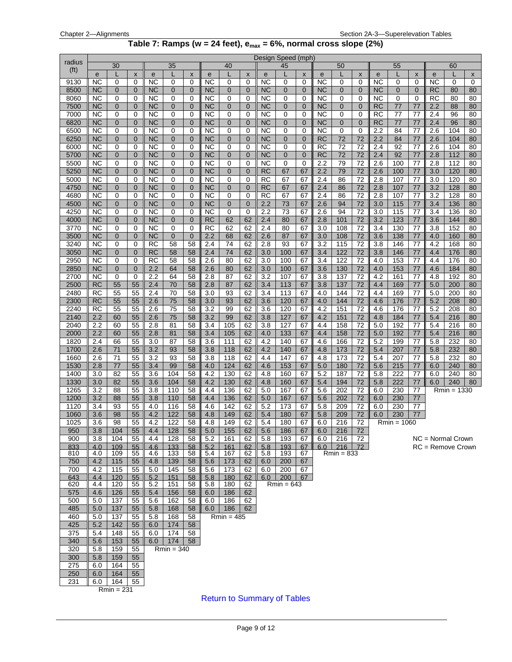#### **Table 7: Ramps (w = 24 feet), emax = 6%, normal cross slope (2%)**

<span id="page-8-0"></span>

| radius            |                        |                               |                               |                        |                   |                         |                        |                  |                     |                 | Design Speed (mph)  |                     |                 |                |                     |            |               |                                   |                |                     |                         |
|-------------------|------------------------|-------------------------------|-------------------------------|------------------------|-------------------|-------------------------|------------------------|------------------|---------------------|-----------------|---------------------|---------------------|-----------------|----------------|---------------------|------------|---------------|-----------------------------------|----------------|---------------------|-------------------------|
| (f <sup>t</sup> ) |                        | 30                            |                               |                        | 35                |                         |                        | 40               |                     |                 | 45                  |                     |                 | 50             |                     |            | 55            |                                   |                | 60                  |                         |
| 9130              | e<br><b>NC</b>         | 0                             | $\pmb{\times}$<br>0           | e<br><b>NC</b>         | L<br>0            | $\pmb{\mathsf{x}}$<br>0 | ${\bf e}$<br><b>NC</b> | L<br>0           | $\pmb{\times}$<br>0 | ${\bf e}$<br>ΝC | 0                   | X<br>0              | e<br><b>NC</b>  | 0              | $\pmb{\times}$<br>0 | e<br>ΝC    | 0             | $\pmb{\mathsf{x}}$<br>$\mathbf 0$ | e<br><b>NC</b> | 0                   | $\pmb{\mathsf{x}}$<br>0 |
| 8500              | <b>NC</b>              | $\overline{0}$                | $\overline{0}$                | ΝC                     | $\mathbf{0}$      | $\Omega$                | <b>NC</b>              | $\overline{0}$   | $\Omega$            | <b>NC</b>       | $\overline{0}$      | $\mathbf 0$         | <b>NC</b>       | $\overline{0}$ | $\overline{0}$      | <b>NC</b>  | $\mathbf{0}$  | $\overline{0}$                    | RC             | 80                  | 80                      |
| 8060              | <b>NC</b>              | $\mathbf 0$                   | 0                             | NC                     | 0                 | 0                       | <b>NC</b>              | 0                | 0                   | ΝC              | 0                   | 0                   | NC              | 0              | 0                   | <b>NC</b>  | 0             | 0                                 | <b>RC</b>      | 80                  | 80                      |
| 7500              | <b>NC</b>              | $\overline{0}$                | $\mathbf 0$                   | <b>NC</b>              | $\overline{0}$    | $\overline{0}$          | <b>NC</b>              | $\overline{0}$   | $\overline{0}$      | <b>NC</b>       | $\overline{0}$      | $\mathbf{0}$        | <b>NC</b>       | $\mathbf{0}$   | $\overline{0}$      | RC         | 77            | 77                                | 2.2            | 88                  | 80                      |
| 7000              | <b>NC</b>              | $\mathbf 0$                   | 0                             | <b>NC</b>              | 0                 | 0                       | <b>NC</b>              | 0                | 0                   | <b>NC</b>       | 0                   | 0                   | <b>NC</b>       | 0              | 0                   | <b>RC</b>  | 77            | 77                                | 2.4            | 96                  | 80                      |
| 6820              | <b>NC</b>              | $\mathbf 0$                   | $\mathbf 0$                   | <b>NC</b>              | 0                 | $\overline{0}$          | <b>NC</b>              | $\mathbf 0$      | $\overline{0}$      | ΝC              | 0                   | $\overline{0}$      | NC              | $\mathbf 0$    | $\mathbf 0$         | <b>RC</b>  | 77            | 77                                | 2.4            | 96                  | 80                      |
| 6500              | <b>NC</b>              | 0                             | 0                             | <b>NC</b>              | 0                 | 0                       | <b>NC</b>              | 0                | 0                   | <b>NC</b>       | 0                   | 0                   | <b>NC</b>       | $\mathbf 0$    | 0                   | 2.2        | 84            | 77                                | 2.6            | 104                 | 80                      |
| 6250<br>6000      | <b>NC</b><br><b>NC</b> | $\overline{0}$<br>0           | $\overline{0}$<br>$\mathbf 0$ | ΝC<br>NC               | $\mathbf{0}$<br>0 | $\overline{0}$<br>0     | <b>NC</b><br><b>NC</b> | $\mathbf 0$<br>0 | $\Omega$<br>0       | ΝC<br>ΝC        | $\overline{0}$<br>0 | $\overline{0}$<br>0 | <b>RC</b><br>RC | 72<br>72       | 72<br>72            | 2.2<br>2.4 | 84<br>92      | 77<br>77                          | 2.6<br>2.6     | 104<br>104          | 80<br>80                |
| 5700              | <b>NC</b>              | $\mathbf 0$                   | $\overline{0}$                | <b>NC</b>              | $\mathbf{0}$      | $\overline{0}$          | <b>NC</b>              | $\mathbf 0$      | $\overline{0}$      | <b>NC</b>       | $\mathbf 0$         | $\overline{0}$      | <b>RC</b>       | 72             | 72                  | 2.4        | 92            | 77                                | 2.8            | 112                 | 80                      |
| 5500              | <b>NC</b>              | $\mathbf 0$                   | $\mathbf 0$                   | NC                     | $\Omega$          | 0                       | <b>NC</b>              | 0                | $\Omega$            | ΝC              | 0                   | $\Omega$            | 2.2             | 79             | 72                  | 2.6        | 100           | 77                                | 2.8            | 112                 | 80                      |
| 5250              | <b>NC</b>              | $\overline{0}$                | $\mathbf 0$                   | <b>NC</b>              | $\mathbf{0}$      | $\mathbf 0$             | <b>NC</b>              | $\mathbf{0}$     | $\mathbf 0$         | <b>RC</b>       | 67                  | 67                  | 2.2             | 79             | 72                  | 2.6        | 100           | 77                                | 3.0            | 120                 | 80                      |
| 5000              | <b>NC</b>              | $\mathbf 0$                   | $\mathbf 0$                   | NC                     | 0                 | 0                       | <b>NC</b>              | 0                | $\Omega$            | <b>RC</b>       | 67                  | 67                  | 2.4             | 86             | 72                  | 2.8        | 107           | 77                                | 3.0            | 120                 | 80                      |
| 4750              | <b>NC</b>              | $\overline{0}$                | $\mathbf 0$                   | <b>NC</b>              | 0                 | $\overline{0}$          | <b>NC</b>              | $\mathbf 0$      | $\mathbf 0$         | <b>RC</b>       | 67                  | 67                  | 2.4             | 86             | 72                  | 2.8        | 107           | 77                                | 3.2            | 128                 | 80                      |
| 4680              | <b>NC</b>              | $\mathbf 0$                   | 0                             | <b>NC</b>              | 0                 | 0                       | <b>NC</b>              | 0                | $\Omega$            | <b>RC</b>       | 67                  | 67                  | 2.4             | 86             | 72                  | 2.8        | 107           | 77                                | 3.2            | 128                 | 80                      |
| 4500              | <b>NC</b>              | $\overline{0}$                | $\mathbf 0$                   | ΝC                     | 0                 | $\mathbf 0$             | <b>NC</b>              | 0                | $\mathbf 0$         | 2.2             | 73                  | 67                  | 2.6             | 94             | 72                  | 3.0        | 115           | 77                                | 3.4            | 136                 | 80                      |
| 4250<br>4000      | <b>NC</b><br><b>NC</b> | $\mathbf 0$<br>$\overline{0}$ | 0<br>$\mathbf 0$              | <b>NC</b><br><b>NC</b> | 0<br>$\mathbf{0}$ | 0<br>$\mathbf 0$        | <b>NC</b><br><b>RC</b> | 0<br>62          | $\Omega$<br>62      | 2.2<br>2.4      | 73<br>80            | 67<br>67            | 2.6<br>2.8      | 94<br>101      | 72<br>72            | 3.0<br>3.2 | 115<br>123    | 77<br>77                          | 3.4<br>3.6     | 136<br>144          | 80<br>80                |
| 3770              | <b>NC</b>              | 0                             | 0                             | NC                     | 0                 | 0                       | RC                     | 62               | 62                  | 2.4             | 80                  | 67                  | 3.0             | 108            | 72                  | 3.4        | 130           | 77                                | 3.8            | 152                 | 80                      |
| 3500              | <b>NC</b>              | $\overline{0}$                | $\mathbf 0$                   | <b>NC</b>              | 0                 | $\overline{0}$          | 2.2                    | 68               | 62                  | 2.6             | 87                  | 67                  | 3.0             | 108            | 72                  | 3.6        | 138           | 77                                | 4.0            | 160                 | 80                      |
| 3240              | <b>NC</b>              | $\mathbf 0$                   | $\mathbf 0$                   | RC                     | 58                | 58                      | 2.4                    | 74               | 62                  | 2.8             | 93                  | 67                  | 3.2             | 115            | 72                  | 3.8        | 146           | 77                                | 4.2            | 168                 | 80                      |
| 3050              | <b>NC</b>              | $\mathbf 0$                   | $\mathbf 0$                   | <b>RC</b>              | 58                | 58                      | 2.4                    | 74               | 62                  | 3.0             | 100                 | 67                  | 3.4             | 122            | 72                  | 3.8        | 146           | 77                                | 4.4            | 176                 | 80                      |
| 2950              | <b>NC</b>              | 0                             | $\Omega$                      | <b>RC</b>              | 58                | 58                      | 2.6                    | 80               | 62                  | 3.0             | 100                 | 67                  | 3.4             | 122            | 72                  | 4.0        | 153           | 77                                | 4.4            | 176                 | 80                      |
| 2850              | <b>NC</b>              | $\overline{0}$                | $\overline{0}$                | 2.2                    | 64                | 58                      | 2.6                    | 80               | 62                  | 3.0             | 100                 | 67                  | 3.6             | 130            | 72                  | 4.0        | 153           | 77                                | 4.6            | 184                 | 80                      |
| 2700              | <b>NC</b>              | 0                             | 0                             | 2.2                    | 64                | 58                      | 2.8                    | 87               | 62                  | 3.2             | 107                 | 67                  | 3.8             | 137            | 72                  | 4.2        | 161           | 77                                | 4.8            | 192                 | 80                      |
| 2500<br>2480      | <b>RC</b><br><b>RC</b> | 55<br>55                      | 55<br>55                      | 2.4<br>2.4             | 70<br>70          | 58<br>58                | 2.8<br>3.0             | 87<br>93         | 62<br>62            | 3.4<br>3.4      | 113<br>113          | 67<br>67            | 3.8<br>4.0      | 137<br>144     | 72<br>72            | 4.4<br>4.4 | 169<br>169    | 77<br>77                          | 5.0<br>5.0     | 200<br>200          | 80<br>80                |
| 2300              | <b>RC</b>              | 55                            | 55                            | 2.6                    | 75                | 58                      | 3.0                    | 93               | 62                  | 3.6             | 120                 | 67                  | 4.0             | 144            | 72                  | 4.6        | 176           | 77                                | 5.2            | 208                 | 80                      |
| 2240              | <b>RC</b>              | 55                            | 55                            | 2.6                    | 75                | 58                      | 3.2                    | 99               | 62                  | 3.6             | 120                 | 67                  | 4.2             | 151            | 72                  | 4.6        | 176           | 77                                | 5.2            | 208                 | 80                      |
| 2140              | 2.2                    | 60                            | 55                            | 2.6                    | 75                | 58                      | 3.2                    | 99               | 62                  | 3.8             | 127                 | 67                  | 4.2             | 151            | 72                  | 4.8        | 184           | 77                                | 5.4            | 216                 | 80                      |
| 2040              | 2.2                    | 60                            | 55                            | 2.8                    | 81                | 58                      | 3.4                    | 105              | 62                  | 3.8             | 127                 | 67                  | 4.4             | 158            | 72                  | 5.0        | 192           | 77                                | 5.4            | 216                 | 80                      |
| 2000              | 2.2                    | 60                            | 55                            | 2.8                    | 81                | 58                      | 3.4                    | 105              | 62                  | 4.0             | 133                 | 67                  | 4.4             | 158            | 72                  | 5.0        | 192           | 77                                | 5.4            | 216                 | 80                      |
| 1820              | 2.4                    | 66                            | 55                            | 3.0                    | 87                | 58                      | 3.6                    | 111              | 62                  | 4.2             | 140                 | 67                  | 4.6             | 166            | 72                  | 5.2        | 199           | 77                                | 5.8            | 232                 | 80                      |
| 1700              | 2.6                    | 71                            | 55                            | 3.2                    | 93                | 58                      | 3.8                    | 118              | 62                  | 4.2             | 140                 | 67                  | 4.8             | 173            | 72                  | 5.4        | 207           | 77                                | 5.8            | 232                 | 80                      |
| 1660<br>1530      | 2.6<br>2.8             | 71<br>$\overline{77}$         | 55<br>55                      | 3.2<br>3.4             | 93<br>99          | 58<br>58                | 3.8<br>4.0             | 118<br>124       | 62<br>62            | 4.4<br>4.6      | 147<br>153          | 67<br>67            | 4.8<br>5.0      | 173<br>180     | 72<br>72            | 5.4<br>5.6 | 207<br>215    | 77<br>77                          | 5.8<br>6.0     | 232<br>240          | 80<br>80                |
| 1400              | 3.0                    | 82                            | 55                            | 3.6                    | 104               | 58                      | 4.2                    | 130              | 62                  | 4.8             | 160                 | 67                  | 5.2             | 187            | 72                  | 5.8        | 222           | 77                                | 6.0            | 240                 | 80                      |
| 1330              | 3.0                    | 82                            | 55                            | 3.6                    | 104               | 58                      | 4.2                    | 130              | 62                  | 4.8             | 160                 | 67                  | 5.4             | 194            | 72                  | 5.8        | 222           | 77                                | 6.0            | 240                 | 80                      |
| 1265              | 3.2                    | 88                            | 55                            | 3.8                    | 110               | 58                      | 4.4                    | 136              | 62                  | 5.0             | 167                 | 67                  | 5.6             | 202            | 72                  | 6.0        | 230           | 77                                |                | Rmin = 1330         |                         |
| 1200              | 3.2                    | 88                            | 55                            | 3.8                    | 110               | 58                      | 4.4                    | 136              | 62                  | 5.0             | 167                 | 67                  | 5.6             | 202            | 72                  | 6.0        | 230           | 77                                |                |                     |                         |
| 1120              | 3.4                    | 93                            | 55                            | 4.0                    | 116               | 58                      | 4.6                    | 142              | 62                  | 5.2             | 173                 | 67                  | 5.8             | 209            | 72                  | 6.0        | 230           | 77                                |                |                     |                         |
| 1060              | 3.6                    | 98                            | 55                            | 4.2                    | 122               | 58                      | 4.8                    | 149              | 62                  | 5.4             | 180                 | 67                  | 5.8             | 209            | 72                  | 6.0        | 230           | 77                                |                |                     |                         |
| 1025              | 3.6                    | 98                            | 55                            | 4.2                    | 122               | 58                      | 4.8                    | 149              | 62                  | 5.4             | 180                 | 67                  | 6.0             | 216            | 72                  |            | $Rmin = 1060$ |                                   |                |                     |                         |
| 950<br>900        | 3.8<br>3.8             | 104<br>104                    | 55<br>55                      | 4.4<br>4.4             | 128<br>128        | 58<br>58                | 5.0<br>5.2             | 155<br>161       | 62<br>62            | 5.6<br>5.8      | 186<br>193          | 67<br>67            | 6.0             | 216<br>216     | 72<br>72            |            |               |                                   |                | $NC = Normal Crown$ |                         |
| 833               | 4.0                    | 109                           | 55                            | 4.6                    | 133               | 58                      | 5.2                    | 161              | 62                  | 5.8             | 193                 | 67                  | 6.0<br>6.0      | 216            | 72                  |            |               |                                   |                | $RC =$ Remove Crown |                         |
| 810               | 4.0                    | 109                           | 55                            | 4.6                    | 133               | 58                      | 5.4                    | 167              | 62                  | 5.8             | 193                 | 67                  |                 | $Rmin = 833$   |                     |            |               |                                   |                |                     |                         |
| 750               | 4.2                    | 115                           | 55                            | 4.8                    | 139               | 58                      | 5.6                    | 173              | 62                  | 6.0             | 200                 | 67                  |                 |                |                     |            |               |                                   |                |                     |                         |
| 700               | 4.2                    | 115                           | 55                            | 5.0                    | 145               | 58                      | 5.6                    | 173              | 62                  | 6.0             | 200                 | 67                  |                 |                |                     |            |               |                                   |                |                     |                         |
| 643<br>620        | 4.4<br>4.4             | 120<br>120                    | 55<br>55                      | 5.2<br>5.2             | 151               | 58                      | 5.8                    | 180<br>180       | 62                  | 6.0             | 200<br>$Rmin = 643$ | 67                  |                 |                |                     |            |               |                                   |                |                     |                         |
| 575               | 4.6                    | 126                           | 55                            | 5.4                    | 151<br>156        | 58<br>58                | 5.8<br>6.0             | 186              | 62<br>62            |                 |                     |                     |                 |                |                     |            |               |                                   |                |                     |                         |
| 500               | 5.0                    | 137                           | 55                            | 5.6                    | 162               | 58                      | 6.0                    | 186              | 62                  |                 |                     |                     |                 |                |                     |            |               |                                   |                |                     |                         |
| 485               | 5.0                    | 137                           | 55                            | 5.8                    | 168               | 58                      | 6.0                    | 186              | 62                  |                 |                     |                     |                 |                |                     |            |               |                                   |                |                     |                         |
| 460               | 5.0                    | 137                           | 55                            | 5.8                    | 168               | 58                      |                        | $Rmin = 485$     |                     |                 |                     |                     |                 |                |                     |            |               |                                   |                |                     |                         |
| 425               | 5.2                    | 142                           | 55                            | 6.0                    | 174               | 58                      |                        |                  |                     |                 |                     |                     |                 |                |                     |            |               |                                   |                |                     |                         |
| 375               | 5.4                    | 148                           | 55                            | 6.0                    | 174               | 58                      |                        |                  |                     |                 |                     |                     |                 |                |                     |            |               |                                   |                |                     |                         |
| 340               | 5.6                    | 153                           | 55                            | 6.0                    | 174               | 58                      |                        |                  |                     |                 |                     |                     |                 |                |                     |            |               |                                   |                |                     |                         |
| 320               | 5.8                    | 159                           | 55                            |                        | $Rmin = 340$      |                         |                        |                  |                     |                 |                     |                     |                 |                |                     |            |               |                                   |                |                     |                         |
| 300<br>275        | 5.8<br>6.0             | 159<br>164                    | 55<br>55                      |                        |                   |                         |                        |                  |                     |                 |                     |                     |                 |                |                     |            |               |                                   |                |                     |                         |
| 250               | 6.0                    | 164                           | 55                            |                        |                   |                         |                        |                  |                     |                 |                     |                     |                 |                |                     |            |               |                                   |                |                     |                         |
| 231               | 6.0                    | 164                           | 55                            |                        |                   |                         |                        |                  |                     |                 |                     |                     |                 |                |                     |            |               |                                   |                |                     |                         |
|                   |                        | $Rmin = 231$                  |                               |                        |                   |                         |                        |                  |                     |                 |                     |                     |                 |                |                     |            |               |                                   |                |                     |                         |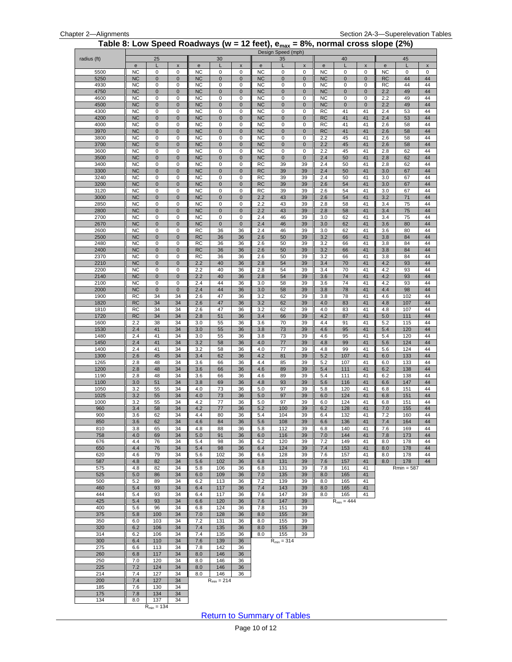<span id="page-9-0"></span>

|              |                        |                        |                        |                        |                        |                    |                        | Design Speed (mph)   |                |                                                | Table 8: Low Speed Roadways (w = 12 feet), $e_{max}$ = 8%, normal cross slope (2%) |                    |            |              |          |
|--------------|------------------------|------------------------|------------------------|------------------------|------------------------|--------------------|------------------------|----------------------|----------------|------------------------------------------------|------------------------------------------------------------------------------------|--------------------|------------|--------------|----------|
| radius (ft)  |                        | 25                     |                        |                        | 30                     |                    |                        | 35                   |                |                                                | 40                                                                                 |                    |            | 45           |          |
|              | ${\bf e}$              | L                      | $\pmb{\mathsf{x}}$     | ${\bf e}$              |                        | $\pmb{\mathsf{x}}$ | ${\bf e}$              |                      | X              | $\mathbf{e}% _{t}\left( \mathbf{1}_{t}\right)$ | L                                                                                  | $\pmb{\mathsf{x}}$ | e          | L            | X        |
| 5500         | <b>NC</b>              | 0                      | $\pmb{0}$              | <b>NC</b>              | 0                      | 0                  | <b>NC</b>              | 0                    | 0              | <b>NC</b>                                      | 0                                                                                  | 0                  | <b>NC</b>  | 0            | 0        |
| 5250         | <b>NC</b>              | $\pmb{0}$              | $\pmb{0}$              | <b>NC</b>              | $\pmb{0}$              | $\pmb{0}$          | <b>NC</b>              | $\mathbf{0}$         | $\pmb{0}$      | <b>NC</b>                                      | $\pmb{0}$                                                                          | $\pmb{0}$          | RC         | 44           | 44       |
| 4930         | <b>NC</b>              | $\pmb{0}$              | $\pmb{0}$              | <b>NC</b>              | $\mathbf 0$            | 0                  | <b>NC</b>              | $\mathbf 0$          | 0              | <b>NC</b>                                      | 0                                                                                  | 0                  | RC         | 44           | 44       |
| 4750         | <b>NC</b><br><b>NC</b> | $\pmb{0}$              | $\pmb{0}$              | <b>NC</b><br><b>NC</b> | $\pmb{0}$              | $\pmb{0}$          | <b>NC</b>              | $\pmb{0}$            | $\pmb{0}$      | <b>NC</b>                                      | $\pmb{0}$                                                                          | $\pmb{0}$          | 2.2        | 49<br>49     | 44<br>44 |
| 4600<br>4500 | <b>NC</b>              | $\pmb{0}$<br>$\pmb{0}$ | $\pmb{0}$<br>$\pmb{0}$ | <b>NC</b>              | $\pmb{0}$<br>$\pmb{0}$ | 0<br>$\pmb{0}$     | <b>NC</b><br><b>NC</b> | $\bf 0$<br>$\pmb{0}$ | 0<br>$\pmb{0}$ | <b>NC</b><br><b>NC</b>                         | 0<br>$\pmb{0}$                                                                     | 0<br>$\pmb{0}$     | 2.2<br>2.2 | 49           | 44       |
| 4300         | <b>NC</b>              | $\mathbf 0$            | $\pmb{0}$              | <b>NC</b>              | $\pmb{0}$              | $\pmb{0}$          | <b>NC</b>              | $\mathbf 0$          | $\mathbf 0$    | RC                                             | 41                                                                                 | 41                 | 2.4        | 53           | 44       |
| 4200         | <b>NC</b>              | $\pmb{0}$              | $\pmb{0}$              | <b>NC</b>              | $\pmb{0}$              | $\pmb{0}$          | <b>NC</b>              | $\mathbf 0$          | $\pmb{0}$      | <b>RC</b>                                      | 41                                                                                 | 41                 | 2.4        | 53           | 44       |
| 4000         | <b>NC</b>              | $\pmb{0}$              | $\pmb{0}$              | <b>NC</b>              | 0                      | 0                  | <b>NC</b>              | 0                    | 0              | RC                                             | 41                                                                                 | 41                 | 2.6        | 58           | 44       |
| 3970         | NC                     | $\pmb{0}$              | $\pmb{0}$              | NC                     | $\pmb{0}$              | $\pmb{0}$          | <b>NC</b>              | $\pmb{0}$            | $\pmb{0}$      | RC                                             | 41                                                                                 | 41                 | 2.6        | 58           | 44       |
| 3800         | <b>NC</b>              | $\pmb{0}$              | $\pmb{0}$              | <b>NC</b>              | $\pmb{0}$              | $\mathbf 0$        | <b>NC</b>              | $\pmb{0}$            | 0              | 2.2                                            | 45                                                                                 | 41                 | 2.6        | 58           | 44       |
| 3700         | NC                     | $\pmb{0}$              | $\pmb{0}$              | NC                     | $\mathbf 0$            | $\pmb{0}$          | <b>NC</b>              | $\pmb{0}$            | $\pmb{0}$      | 2.2                                            | 45                                                                                 | 41                 | 2.6        | 58           | 44       |
| 3600         | <b>NC</b>              | $\pmb{0}$              | $\pmb{0}$              | <b>NC</b>              | $\mathbf 0$            | 0                  | <b>NC</b>              | 0                    | 0              | 2.2                                            | 45                                                                                 | 41                 | 2.8        | 62           | 44       |
| 3500         | NC                     | $\pmb{0}$              | $\pmb{0}$              | NC                     | $\pmb{0}$              | $\pmb{0}$          | <b>NC</b>              | $\pmb{0}$            | $\pmb{0}$      | 2.4                                            | 50                                                                                 | 41                 | 2.8        | 62           | 44       |
| 3400         | <b>NC</b>              | $\mathsf 0$            | $\mathbf 0$            | <b>NC</b>              | 0                      | $\mathbf 0$        | <b>RC</b>              | 39                   | 39             | 2.4                                            | 50                                                                                 | 41                 | 2.8        | 62           | 44       |
| 3300         | <b>NC</b>              | $\pmb{0}$              | $\pmb{0}$              | <b>NC</b>              | $\pmb{0}$              | $\pmb{0}$          | <b>RC</b>              | 39                   | 39             | 2.4                                            | 50                                                                                 | 41                 | 3.0        | 67           | 44       |
| 3240         | <b>NC</b>              | $\pmb{0}$              | $\pmb{0}$              | <b>NC</b>              | $\pmb{0}$              | 0                  | <b>RC</b>              | 39                   | 39             | 2.4                                            | 50                                                                                 | 41                 | 3.0        | 67           | 44       |
| 3200         | NC                     | $\pmb{0}$              | $\pmb{0}$              | NC                     | $\pmb{0}$              | $\pmb{0}$          | RC                     | 39                   | 39             | 2.6                                            | 54                                                                                 | 41                 | 3.0        | 67           | 44       |
| 3120         | <b>NC</b>              | $\pmb{0}$              | $\pmb{0}$              | <b>NC</b>              | 0                      | 0                  | <b>RC</b>              | 39                   | 39             | 2.6                                            | 54                                                                                 | 41                 | 3.0        | 67           | 44       |
| 3000         | <b>NC</b>              | $\pmb{0}$              | $\mathbf 0$            | <b>NC</b>              | $\mathbf 0$            | $\pmb{0}$          | 2.2                    | 43                   | 39             | 2.6                                            | 54                                                                                 | 41                 | 3.2        | 71           | 44       |
| 2850         | <b>NC</b>              | $\pmb{0}$              | $\pmb{0}$              | <b>NC</b>              | $\mathbf 0$            | 0                  | 2.2                    | 43                   | 39             | 2.8                                            | 58                                                                                 | 41                 | 3.4        | 75           | 44       |
| 2800         | NC                     | $\pmb{0}$              | $\pmb{0}$              | NC                     | $\pmb{0}$              | $\pmb{0}$          | 2.2                    | 43                   | 39             | 2.8                                            | 58                                                                                 | 41                 | 3.4        | 75           | 44       |
| 2700         | <b>NC</b>              | $\pmb{0}$              | $\pmb{0}$              | <b>NC</b>              | $\pmb{0}$              | 0                  | 2.4                    | 46                   | 39             | 3.0                                            | 62                                                                                 | 41                 | 3.4        | 75           | 44       |
| 2670         | <b>NC</b>              | $\pmb{0}$              | $\pmb{0}$              | <b>NC</b>              | $\pmb{0}$              | $\pmb{0}$          | 2.4                    | 46<br>46             | 39             | 3.0                                            | 62                                                                                 | 41<br>41           | 3.6        | 80           | 44<br>44 |
| 2600<br>2500 | <b>NC</b><br><b>NC</b> | 0<br>$\pmb{0}$         | 0<br>$\pmb{0}$         | RC<br><b>RC</b>        | 36<br>36               | 36<br>36           | 2.4<br>2.6             | 50                   | 39<br>39       | 3.0<br>3.2                                     | 62<br>66                                                                           | 41                 | 3.6<br>3.8 | 80<br>84     | 44       |
| 2480         | <b>NC</b>              | $\pmb{0}$              | $\pmb{0}$              | RC                     | 36                     | 36                 | 2.6                    | 50                   | 39             | 3.2                                            | 66                                                                                 | 41                 | 3.8        | 84           | 44       |
| 2400         | <b>NC</b>              | $\pmb{0}$              | $\pmb{0}$              | <b>RC</b>              | 36                     | 36                 | 2.6                    | 50                   | 39             | 3.2                                            | 66                                                                                 | 41                 | 3.8        | 84           | 44       |
| 2370         | <b>NC</b>              | $\pmb{0}$              | $\pmb{0}$              | RC                     | 36                     | 36                 | 2.6                    | 50                   | 39             | 3.2                                            | 66                                                                                 | 41                 | 3.8        | 84           | 44       |
| 2210         | <b>NC</b>              | $\pmb{0}$              | $\pmb{0}$              | 2.2                    | 40                     | 36                 | 2.8                    | 54                   | 39             | 3.4                                            | 70                                                                                 | 41                 | 4.2        | 93           | 44       |
| 2200         | <b>NC</b>              | $\pmb{0}$              | $\pmb{0}$              | 2.2                    | 40                     | 36                 | 2.8                    | 54                   | 39             | 3.4                                            | 70                                                                                 | 41                 | 4.2        | 93           | 44       |
| 2140         | <b>NC</b>              | $\pmb{0}$              | $\pmb{0}$              | 2.2                    | 40                     | 36                 | 2.8                    | 54                   | 39             | 3.6                                            | 74                                                                                 | 41                 | 4.2        | 93           | 44       |
| 2100         | <b>NC</b>              | $\pmb{0}$              | $\pmb{0}$              | 2.4                    | 44                     | 36                 | 3.0                    | 58                   | 39             | 3.6                                            | 74                                                                                 | 41                 | 4.2        | 93           | 44       |
| 2000         | <b>NC</b>              | $\mathbf 0$            | $\pmb{0}$              | 2.4                    | 44                     | 36                 | 3.0                    | 58                   | 39             | 3.8                                            | 78                                                                                 | 41                 | 4.4        | 98           | 44       |
| 1900         | <b>RC</b>              | 34                     | 34                     | 2.6                    | 47                     | 36                 | 3.2                    | 62                   | 39             | 3.8                                            | 78                                                                                 | 41                 | 4.6        | 102          | 44       |
| 1820         | <b>RC</b>              | 34                     | 34                     | 2.6                    | 47                     | 36                 | 3.2                    | 62                   | 39             | 4.0                                            | 83                                                                                 | 41                 | 4.8        | 107          | 44       |
| 1810         | RC                     | 34                     | 34                     | 2.6                    | 47                     | 36                 | 3.2                    | 62                   | 39             | 4.0                                            | 83                                                                                 | 41                 | 4.8        | 107          | 44       |
| 1720         | <b>RC</b>              | 34                     | 34                     | 2.8                    | 51                     | 36                 | 3.4                    | 66                   | 39             | 4.2                                            | 87                                                                                 | 41                 | 5.0        | 111          | 44       |
| 1600         | 2.2                    | 38                     | 34                     | 3.0                    | 55                     | 36                 | 3.6                    | 70                   | 39             | 4.4                                            | 91                                                                                 | 41                 | 5.2        | 115          | 44       |
| 1530         | 2.4                    | 41                     | 34                     | 3.0                    | 55                     | 36                 | 3.8                    | 73                   | 39             | 4.6                                            | 95                                                                                 | 41                 | 5.4        | 120          | 44       |
| 1480         | 2.4                    | 41                     | 34                     | 3.0                    | 55                     | 36                 | 3.8                    | 73                   | 39             | 4.6                                            | 95                                                                                 | 41                 | 5.4        | 120          | 44       |
| 1450         | 2.4                    | 41<br>41               | 34                     | 3.2                    | 58                     | 36                 | 4.0                    | 77<br>77             | 39             | 4.8                                            | 99                                                                                 | 41<br>41           | 5.6        | 124          | 44<br>44 |
| 1400<br>1300 | 2.4<br>2.6             | 45                     | 34<br>34               | 3.2<br>3.4             | 58<br>62               | 36<br>36           | 4.0<br>4.2             | 81                   | 39<br>39       | 4.8<br>5.2                                     | 99<br>107                                                                          | 41                 | 5.6<br>6.0 | 124<br>133   | 44       |
| 1265         | 2.8                    | 48                     | 34                     | 3.6                    | 66                     | 36                 | 4.4                    | 85                   | 39             | 5.2                                            | 107                                                                                | 41                 | 6.0        | 133          | 44       |
| 1200         | 2.8                    | 48                     | 34                     | 3.6                    | 66                     | 36                 | 4.6                    | 89                   | 39             | 5.4                                            | 111                                                                                | 41                 | 6.2        | 138          | 44       |
| 1190         | 2.8                    | 48                     | 34                     | 3.6                    | 66                     | 36                 | 4.6                    | 89                   | 39             | 5.4                                            | 111                                                                                | 41                 | 6.2        | 138          | 44       |
| 1100         | 3.0                    | 51                     | 34                     | 3.8                    | 69                     | 36                 | 4.8                    | 93                   | 39             | 5.6                                            | 116                                                                                | 41                 | 6.6        | 147          | 44       |
| 1050         | 3.2                    | 55                     | 34                     | 4.0                    | 73                     | 36                 | 5.0                    | 97                   | 39             | 5.8                                            | 120                                                                                | 41                 | 6.8        | 151          | 44       |
| 1025         | 3.2                    | 55                     | 34                     | 4.0                    | 73                     | 36                 | 5.0                    | 97                   | 39             | 6.0                                            | 124                                                                                | 41                 | 6.8        | 151          | 44       |
| 1000         | 3.2                    | 55                     | 34                     | 4.2                    | 77                     | 36                 | 5.0                    | 97                   | 39             | 6.0                                            | 124                                                                                | 41                 | 6.8        | 151          | 44       |
| 960          | 3.4                    | 58                     | 34                     | 4.2                    | 77                     | 36                 | 5.2                    | 100                  | 39             | 6.2                                            | 128                                                                                | 41                 | 7.0        | 155          | 44       |
| 900          | 3.6                    | 62                     | 34                     | 4.4                    | 80                     | 36                 | 5.4                    | 104                  | 39             | 6.4                                            | 132                                                                                | 41                 | 7.2        | 160          | 44       |
| 850          | 3.6                    | 62                     | 34                     | 4.6                    | 84                     | 36                 | 5.6                    | 108                  | 39             | 6.6                                            | 136                                                                                | 41                 | 7.4        | 164          | 44       |
| 810          | 3.8                    | 65                     | 34                     | 4.8                    | 88                     | 36                 | 5.8                    | 112                  | 39             | 6.8                                            | 140                                                                                | 41                 | 7.6        | 169          | 44       |
| 758          | 4.0                    | 69                     | 34                     | 5.0                    | 91                     | 36                 | 6.0                    | 116                  | 39             | 7.0                                            | 144                                                                                | 41                 | 7.8        | 173          | 44       |
| 676          | 4.4                    | 76                     | 34                     | 5.4                    | 98                     | 36                 | 6.2                    | 120                  | 39             | 7.2                                            | 149                                                                                | 41                 | 8.0        | 178          | 44       |
| 650          | 4.4                    | 76<br>79               | 34                     | 5.4                    | 98                     | 36                 | 6.4                    | 124                  | 39             | 7.4<br>7.6                                     | 153                                                                                | 41<br>41           | 8.0        | 178          | 44       |
| 620<br>587   | 4.6<br>4.8             | 82                     | 34<br>34               | 5.6<br>5.6             | 102<br>102             | 36<br>36           | 6.6<br>6.8             | 128<br>131           | 39<br>39       | 7.6                                            | 157<br>157                                                                         | 41                 | 8.0<br>8.0 | 178<br>178   | 44<br>44 |
| 575          | 4.8                    | 82                     | 34                     | 5.8                    | 106                    | 36                 | 6.8                    | 131                  | 39             | 7.8                                            | 161                                                                                | 41                 |            | $Rmin = 587$ |          |
| 525          | 5.0                    | 86                     | 34                     | 6.0                    | 109                    | 36                 | 7.0                    | 135                  | 39             | 8.0                                            | 165                                                                                | 41                 |            |              |          |
| 500          | 5.2                    | 89                     | 34                     | 6.2                    | 113                    | 36                 | 7.2                    | 139                  | 39             | 8.0                                            | 165                                                                                | 41                 |            |              |          |
| 460          | 5.4                    | 93                     | 34                     | 6.4                    | 117                    | 36                 | 7.4                    | 143                  | 39             | 8.0                                            | 165                                                                                | 41                 |            |              |          |
| 444          | 5.4                    | 93                     | 34                     | 6.4                    | 117                    | 36                 | 7.6                    | 147                  | 39             | 8.0                                            | 165                                                                                | 41                 |            |              |          |
| 425          | 5.4                    | 93                     | 34                     | 6.6                    | 120                    | 36                 | 7.6                    | 147                  | 39             |                                                | $R_{min} = 444$                                                                    |                    |            |              |          |
| 400          | 5.6                    | 96                     | 34                     | 6.8                    | 124                    | 36                 | 7.8                    | 151                  | 39             |                                                |                                                                                    |                    |            |              |          |
| 375          | 5.8                    | 100                    | 34                     | 7.0                    | 128                    | 36                 | 8.0                    | 155                  | 39             |                                                |                                                                                    |                    |            |              |          |
| 350          | 6.0                    | 103                    | 34                     | 7.2                    | 131                    | 36                 | 8.0                    | 155                  | 39             |                                                |                                                                                    |                    |            |              |          |
| 320          | 6.2                    | 106                    | 34                     | 7.4                    | 135                    | 36                 | 8.0                    | 155                  | 39             |                                                |                                                                                    |                    |            |              |          |
| 314          | 6.2                    | 106                    | 34                     | 7.4                    | 135                    | 36                 | 8.0                    | 155                  | 39             |                                                |                                                                                    |                    |            |              |          |
| 300          | 6.4                    | 110                    | 34                     | 7.6                    | 139                    | 36                 |                        | $R_{min} = 314$      |                |                                                |                                                                                    |                    |            |              |          |
| 275          | 6.6                    | 113                    | 34                     | 7.8                    | 142                    | 36                 |                        |                      |                |                                                |                                                                                    |                    |            |              |          |
| 260          | 6.8                    | 117                    | 34                     | 8.0                    | 146                    | 36                 |                        |                      |                |                                                |                                                                                    |                    |            |              |          |
| 250          | 7.0                    | 120                    | 34                     | 8.0                    | 146                    | 36                 |                        |                      |                |                                                |                                                                                    |                    |            |              |          |
| 225          | 7.2                    | 124                    | 34                     | 8.0                    | 146                    | 36                 |                        |                      |                |                                                |                                                                                    |                    |            |              |          |
| 214          | 7.4                    | 127                    | 34                     | 8.0                    | 146                    | 36                 |                        |                      |                |                                                |                                                                                    |                    |            |              |          |
| 200          | 7.4                    | 127                    | 34                     |                        | $R_{min} = 214$        |                    |                        |                      |                |                                                |                                                                                    |                    |            |              |          |
| 185          | 7.6<br>7.8             | 130<br>134             | 34<br>34               |                        |                        |                    |                        |                      |                |                                                |                                                                                    |                    |            |              |          |
| 175          |                        |                        |                        |                        |                        |                    |                        |                      |                |                                                |                                                                                    |                    |            |              |          |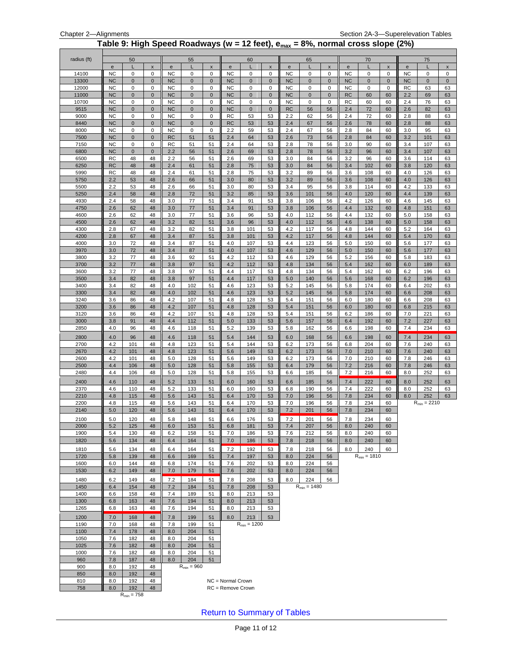#### **Table 9: High Speed Roadways (w = 12 feet), emax = 8%, normal cross slope (2%)**

<span id="page-10-0"></span>

| radius (ft)    |                        | 50                     | X                           |                        | 55               | X                          |                        | 60               | $\pmb{\mathsf{x}}$     |                          | 65               | $\pmb{\mathsf{x}}$         |                        | 70                      |                     |                        | 75<br>L          | $\pmb{\mathsf{x}}$ |
|----------------|------------------------|------------------------|-----------------------------|------------------------|------------------|----------------------------|------------------------|------------------|------------------------|--------------------------|------------------|----------------------------|------------------------|-------------------------|---------------------|------------------------|------------------|--------------------|
| 14100          | e<br><b>NC</b>         | 0                      | 0                           | e<br><b>NC</b>         | 0                | 0                          | ${\bf e}$<br><b>NC</b> | 0                | 0                      | $\mathbf e$<br><b>NC</b> | 0                | 0                          | ${\bf e}$<br><b>NC</b> | 0                       | $\pmb{\times}$<br>0 | ${\bf e}$<br><b>NC</b> | 0                | 0                  |
| 13300          | <b>NC</b>              | $\mathbf 0$            | $\mathbf 0$                 | <b>NC</b>              | $\mathbf 0$      | $\mathbf 0$                | <b>NC</b>              | $\mathbf 0$      | $\mathbf 0$            | <b>NC</b>                | $\mathbf{0}$     | $\mathbf 0$                | <b>NC</b>              | $\mathbf 0$             | $\pmb{0}$           | <b>NC</b>              | $\mathbf 0$      | $\mathbf 0$        |
| 12000          | <b>NC</b>              | 0                      | 0                           | <b>NC</b>              | 0                | 0                          | NC                     | 0                | $\mathbf 0$            | <b>NC</b>                | 0                | 0                          | NC                     | 0                       | 0                   | RC                     | 63               | 63                 |
| 11000<br>10700 | <b>NC</b><br><b>NC</b> | $\pmb{0}$<br>0         | $\mathbf 0$<br>0            | <b>NC</b><br><b>NC</b> | $\mathbf 0$<br>0 | $\mathbf 0$<br>$\mathsf 0$ | <b>NC</b><br><b>NC</b> | $\mathbf 0$<br>0 | $\pmb{0}$<br>$\pmb{0}$ | <b>NC</b><br><b>NC</b>   | $\mathbf 0$<br>0 | $\mathbf 0$<br>$\mathbf 0$ | <b>RC</b><br><b>RC</b> | 60<br>60                | 60<br>60            | 2.2<br>2.4             | 69<br>76         | 63<br>63           |
| 9515           | <b>NC</b>              | $\mathbf 0$            | $\mathbf{0}$                | <b>NC</b>              | $\mathbf{0}$     | $\mathbf 0$                | <b>NC</b>              | $\mathbf 0$      | $\mathbf 0$            | <b>RC</b>                | 56               | 56                         | 2.4                    | 72                      | 60                  | 2.6                    | 82               | 63                 |
| 9000           | <b>NC</b>              | 0                      | $\mathbf 0$                 | <b>NC</b>              | 0                | 0                          | RC                     | 53               | 53                     | 2.2                      | 62               | 56                         | 2.4                    | 72                      | 60                  | 2.8                    | 88               | 63                 |
| 8440           | <b>NC</b>              | $\pmb{0}$              | $\mathbf 0$                 | <b>NC</b>              | $\mathbf 0$      | $\mathbf 0$                | <b>RC</b>              | 53               | 53                     | 2.4                      | 67               | 56                         | 2.6                    | 78                      | 60                  | 2.8                    | 88               | 63                 |
| 8000           | <b>NC</b>              | 0                      | 0                           | <b>NC</b>              | 0                | 0                          | 2.2                    | 59               | 53                     | 2.4                      | 67               | 56                         | 2.8                    | 84                      | 60                  | 3.0                    | 95               | 63                 |
| 7500<br>7150   | <b>NC</b><br><b>NC</b> | $\pmb{0}$<br>0         | $\mathbf{0}$<br>$\mathbf 0$ | RC<br>RC               | 51<br>51         | 51<br>51                   | 2.4<br>2.4             | 64<br>64         | 53<br>53               | 2.6<br>2.8               | 73<br>78         | 56<br>56                   | 2.8<br>3.0             | 84<br>90                | 60<br>60            | 3.2<br>3.4             | 101<br>107       | 63<br>63           |
| 6800           | <b>NC</b>              | $\pmb{0}$              | $\mathbf 0$                 | 2.2                    | 56               | 51                         | 2.6                    | 69               | 53                     | 2.8                      | 78               | 56                         | 3.2                    | 96                      | 60                  | 3.4                    | 107              | 63                 |
| 6500           | <b>RC</b>              | 48                     | 48                          | 2.2                    | 56               | 51                         | 2.6                    | 69               | 53                     | 3.0                      | 84               | 56                         | 3.2                    | 96                      | 60                  | 3.6                    | 114              | 63                 |
| 6250           | <b>RC</b>              | 48                     | 48                          | 2.4                    | 61               | 51                         | 2.8                    | 75               | 53                     | 3.0                      | 84               | 56                         | 3.4                    | 102                     | 60                  | 3.8                    | 120              | 63                 |
| 5990<br>5750   | <b>RC</b><br>2.2       | 48<br>53               | 48<br>48                    | 2.4<br>2.6             | 61<br>66         | 51<br>51                   | 2.8<br>3.0             | 75<br>80         | 53<br>53               | 3.2<br>3.2               | 89<br>89         | 56<br>56                   | 3.6<br>3.6             | 108<br>108              | 60<br>60            | 4.0<br>4.0             | 126<br>126       | 63<br>63           |
| 5500           | 2.2                    | 53                     | 48                          | 2.6                    | 66               | 51                         | 3.0                    | 80               | 53                     | 3.4                      | 95               | 56                         | 3.8                    | 114                     | 60                  | 4.2                    | 133              | 63                 |
| 5250           | 2.4                    | 58                     | 48                          | 2.8                    | 72               | 51                         | 3.2                    | 85               | 53                     | 3.6                      | 101              | 56                         | 4.0                    | 120                     | 60                  | 4.4                    | 139              | 63                 |
| 4930           | 2.4                    | 58                     | 48                          | 3.0                    | 77               | 51                         | 3.4                    | 91               | 53                     | 3.8                      | 106              | 56                         | 4.2                    | 126                     | 60                  | 4.6                    | 145              | 63                 |
| 4750           | 2.6                    | 62                     | 48                          | 3.0                    | 77               | 51                         | 3.4                    | 91               | 53                     | 3.8                      | 106              | 56                         | 4.4                    | 132                     | 60                  | 4.8                    | 151              | 63                 |
| 4600<br>4500   | 2.6<br>2.6             | 62<br>62               | 48<br>48                    | 3.0<br>3.2             | 77<br>82         | 51<br>51                   | 3.6<br>3.6             | 96<br>96         | 53<br>53               | 4.0<br>4.0               | 112<br>112       | 56<br>56                   | 4.4<br>4.6             | 132<br>138              | 60<br>60            | 5.0<br>5.0             | 158<br>158       | 63<br>63           |
| 4300           | 2.8                    | 67                     | 48                          | 3.2                    | 82               | 51                         | 3.8                    | 101              | 53                     | 4.2                      | 117              | 56                         | 4.8                    | 144                     | 60                  | 5.2                    | 164              | 63                 |
| 4200           | 2.8                    | 67                     | 48                          | 3.4                    | 87               | 51                         | 3.8                    | 101              | 53                     | 4.2                      | 117              | 56                         | 4.8                    | 144                     | 60                  | 5.4                    | 170              | 63                 |
| 4000           | 3.0                    | 72                     | 48                          | 3.4                    | 87               | 51                         | 4.0                    | 107              | 53                     | 4.4                      | 123              | 56                         | 5.0                    | 150                     | 60                  | 5.6                    | 177              | 63                 |
| 3970<br>3800   | 3.0<br>3.2             | 72                     | 48                          | 3.4                    | 87<br>92         | 51<br>51                   | 4.0<br>4.2             | 107              | 53                     | 4.6                      | 129              | 56<br>56                   | 5.0                    | 150                     | 60                  | 5.6                    | 177              | 63                 |
| 3700           | 3.2                    | 77<br>77               | 48<br>48                    | 3.6<br>3.8             | 97               | 51                         | 4.2                    | 112<br>112       | 53<br>53               | 4.6<br>4.8               | 129<br>134       | 56                         | 5.2<br>5.4             | 156<br>162              | 60<br>60            | 5.8<br>6.0             | 183<br>189       | 63<br>63           |
| 3600           | 3.2                    | 77                     | 48                          | 3.8                    | 97               | 51                         | 4.4                    | 117              | 53                     | 4.8                      | 134              | 56                         | 5.4                    | 162                     | 60                  | 6.2                    | 196              | 63                 |
| 3500           | 3.4                    | 82                     | 48                          | 3.8                    | 97               | 51                         | 4.4                    | 117              | 53                     | 5.0                      | 140              | 56                         | 5.6                    | 168                     | 60                  | 6.2                    | 196              | 63                 |
| 3400           | 3.4                    | 82                     | 48                          | 4.0                    | 102              | 51                         | 4.6                    | 123              | 53                     | 5.2                      | 145              | 56                         | 5.8                    | 174                     | 60                  | 6.4                    | 202              | 63                 |
| 3300<br>3240   | 3.4<br>3.6             | 82<br>86               | 48<br>48                    | 4.0<br>4.2             | 102<br>107       | 51<br>51                   | 4.6<br>4.8             | 123<br>128       | 53<br>53               | 5.2<br>5.4               | 145<br>151       | 56<br>56                   | 5.8<br>6.0             | 174<br>180              | 60<br>60            | 6.6<br>6.6             | 208<br>208       | 63<br>63           |
| 3200           | 3.6                    | 86                     | 48                          | 4.2                    | 107              | 51                         | 4.8                    | 128              | 53                     | 5.4                      | 151              | 56                         | 6.0                    | 180                     | 60                  | 6.8                    | 215              | 63                 |
| 3120           | 3.6                    | 86                     | 48                          | 4.2                    | 107              | 51                         | 4.8                    | 128              | 53                     | 5.4                      | 151              | 56                         | 6.2                    | 186                     | 60                  | 7.0                    | 221              | 63                 |
| 3000           | 3.8                    | 91                     | 48                          | 4.4                    | 112              | 51                         | 5.0                    | 133              | 53                     | 5.6                      | 157              | 56                         | 6.4                    | 192                     | 60                  | 7.2                    | 227              | 63                 |
| 2850           | 4.0                    | 96                     | 48                          | 4.6                    | 118              | 51                         | 5.2                    | 139              | 53                     | 5.8                      | 162              | 56                         | 6.6                    | 198                     | 60                  | 7.4                    | 234              | 63                 |
| 2800           | 4.0                    | 96                     | 48                          | 4.6                    | 118              | 51                         | 5.4                    | 144              | 53                     | 6.0                      | 168              | 56                         | 6.6                    | 198                     | 60                  | 7.4                    | 234              | 63                 |
| 2700<br>2670   | 4.2<br>4.2             | 101<br>101             | 48<br>48                    | 4.8<br>4.8             | 123<br>123       | 51<br>51                   | 5.4<br>5.6             | 144<br>149       | 53<br>53               | 6.2<br>6.2               | 173<br>173       | 56<br>56                   | 6.8<br>7.0             | 204<br>210              | 60<br>60            | 7.6<br>7.6             | 240<br>240       | 63<br>63           |
| 2600           | 4.2                    | 101                    | 48                          | 5.0                    | 128              | 51                         | 5.6                    | 149              | 53                     | 6.2                      | 173              | 56                         | 7.0                    | 210                     | 60                  | 7.8                    | 246              | 63                 |
| 2500           | 4.4                    | 106                    | 48                          | 5.0                    | 128              | 51                         | 5.8                    | 155              | 53                     | 6.4                      | 179              | 56                         | 7.2                    | 216                     | 60                  | 7.8                    | 246              | 63                 |
| 2480           | 4.4                    | 106                    | 48                          | 5.0                    | 128              | 51                         | 5.8                    | 155              | 53                     | 6.6                      | 185              | 56                         | 7.2                    | 216                     | 60                  | 8.0                    | 252              | 63                 |
| 2400           | 4.6                    | 110                    | 48                          | 5.2                    | 133              | 51                         | 6.0                    | 160              | 53                     | 6.6                      | 185              | 56                         | 7.4                    | 222                     | 60                  | 8.0                    | 252              | 63                 |
| 2370<br>2210   | 4.6<br>4.8             | 110<br>115             | 48<br>48                    | 5.2<br>5.6             | 133<br>143       | 51<br>51                   | 6.0<br>6.4             | 160<br>170       | 53<br>53               | 6.8<br>7.0               | 190<br>196       | 56<br>56                   | 7.4<br>7.8             | 222<br>234              | 60<br>60            | 8.0<br>8.0             | 252<br>252       | 63<br>63           |
| 2200           | 4.8                    | 115                    | 48                          | 5.6                    | 143              | 51                         | 6.4                    | 170              | 53                     | 7.0                      | 196              | 56                         | 7.8                    | 234                     | 60                  |                        | $R_{min} = 2210$ |                    |
| 2140           | 5.0                    | 120                    | 48                          | 5.6                    | 143              | 51                         | 6.4                    | 170              | 53                     | 7.2                      | 201              | 56                         | 7.8                    | 234                     | 60                  |                        |                  |                    |
| 2100           | 5.0                    | 120                    | 48                          | 5.8                    | 148              | 51                         | 6.6                    | 176              | 53                     | 7.2                      | 201              | 56                         | 7.8                    | 234                     | 60                  |                        |                  |                    |
| 2000           | 5.2                    | 125                    | 48                          | 6.0                    | 153              | 51                         | 6.8                    | 181              | 53                     | 7.4                      | 207              | 56                         | 8.0                    | 240                     | 60                  |                        |                  |                    |
| 1900<br>1820   | 5.4<br>5.6             | 130<br>134             | 48<br>48                    | 6.2<br>6.4             | 158<br>164       | 51<br>51                   | 7.0<br>7.0             | 186<br>186       | 53<br>53               | 7.6<br>7.8               | 212<br>218       | 56<br>56                   | 8.0<br>8.0             | 240<br>240              | 60<br>60            |                        |                  |                    |
|                |                        |                        |                             |                        |                  |                            |                        |                  |                        |                          |                  |                            |                        |                         |                     |                        |                  |                    |
| 1810<br>1720   | 5.6<br>5.8             | 134<br>139             | 48<br>48                    | 6.4<br>6.6             | 164<br>169       | 51<br>51                   | 7.2<br>7.4             | 192<br>197       | 53<br>53               | 7.8<br>8.0               | 218<br>224       | 56<br>56                   | 8.0                    | 240<br>$R_{min} = 1810$ | 60                  |                        |                  |                    |
| 1600           | 6.0                    | 144                    | 48                          | 6.8                    | 174              | 51                         | 7.6                    | 202              | 53                     | 8.0                      | 224              | 56                         |                        |                         |                     |                        |                  |                    |
| 1530           | 6.2                    | 149                    | 48                          | 7.0                    | 179              | 51                         | 7.6                    | 202              | 53                     | 8.0                      | 224              | 56                         |                        |                         |                     |                        |                  |                    |
| 1480           | 6.2                    | 149                    | 48                          | 7.2                    | 184              | 51                         | 7.8                    | 208              | 53                     | 8.0                      | 224              | 56                         |                        |                         |                     |                        |                  |                    |
| 1450           | 6.4                    | 154                    | 48                          | 7.2                    | 184              | 51                         | 7.8                    | 208              | 53                     |                          | $R_{min} = 1480$ |                            |                        |                         |                     |                        |                  |                    |
| 1400<br>1300   | 6.6<br>6.8             | 158<br>163             | 48<br>48                    | 7.4<br>7.6             | 189<br>194       | 51<br>51                   | 8.0<br>8.0             | 213<br>213       | 53<br>53               |                          |                  |                            |                        |                         |                     |                        |                  |                    |
| 1265           | 6.8                    | 163                    | 48                          | 7.6                    | 194              | 51                         | 8.0                    | 213              | 53                     |                          |                  |                            |                        |                         |                     |                        |                  |                    |
| 1200           | 7.0                    | 168                    | 48                          | 7.8                    | 199              | 51                         | 8.0                    | 213              | 53                     |                          |                  |                            |                        |                         |                     |                        |                  |                    |
| 1190           | 7.0                    | 168                    | 48                          | 7.8                    | 199              | 51                         |                        | $R_{min} = 1200$ |                        |                          |                  |                            |                        |                         |                     |                        |                  |                    |
| 1100           | 7.4                    | 178                    | 48                          | 8.0                    | 204              | 51                         |                        |                  |                        |                          |                  |                            |                        |                         |                     |                        |                  |                    |
| 1050           | 7.6                    | 182                    | 48                          | 8.0                    | 204              | 51                         |                        |                  |                        |                          |                  |                            |                        |                         |                     |                        |                  |                    |
| 1025<br>1000   | 7.6<br>7.6             | 182<br>182             | 48<br>48                    | 8.0<br>8.0             | 204<br>204       | 51<br>51                   |                        |                  |                        |                          |                  |                            |                        |                         |                     |                        |                  |                    |
| 960            | 7.8                    | 187                    | 48                          | 8.0                    | 204              | 51                         |                        |                  |                        |                          |                  |                            |                        |                         |                     |                        |                  |                    |
| 900            | 8.0                    | 192                    | 48                          |                        | $R_{min} = 960$  |                            |                        |                  |                        |                          |                  |                            |                        |                         |                     |                        |                  |                    |
| 850            | 8.0                    | 192                    | 48                          |                        |                  |                            |                        |                  |                        |                          |                  |                            |                        |                         |                     |                        |                  |                    |
| 810            | 8.0                    | 192                    | 48                          |                        |                  |                            | NC = Normal Crown      |                  |                        |                          |                  |                            |                        |                         |                     |                        |                  |                    |
| 758            | 8.0                    | 192<br>$R_{min} = 758$ | 48                          |                        |                  |                            | RC = Remove Crown      |                  |                        |                          |                  |                            |                        |                         |                     |                        |                  |                    |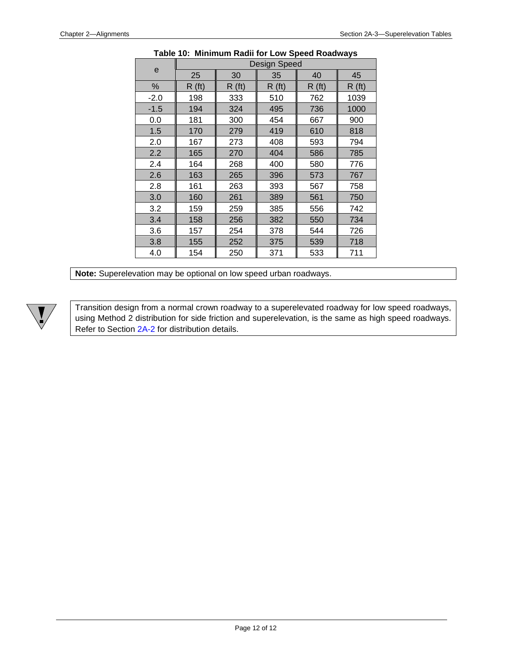<span id="page-11-0"></span>

|        |       |       | Design Speed |       |       |
|--------|-------|-------|--------------|-------|-------|
| е      | 25    | 30    | 35           | 40    | 45    |
| $\%$   | R(ft) | R(ft) | R(ft)        | R(ft) | R(ft) |
| $-2.0$ | 198   | 333   | 510          | 762   | 1039  |
| $-1.5$ | 194   | 324   | 495          | 736   | 1000  |
| 0.0    | 181   | 300   | 454          | 667   | 900   |
| 1.5    | 170   | 279   | 419          | 610   | 818   |
| 2.0    | 167   | 273   | 408          | 593   | 794   |
| 2.2    | 165   | 270   | 404          | 586   | 785   |
| 2.4    | 164   | 268   | 400          | 580   | 776   |
| 2.6    | 163   | 265   | 396          | 573   | 767   |
| 2.8    | 161   | 263   | 393          | 567   | 758   |
| 3.0    | 160   | 261   | 389          | 561   | 750   |
| 3.2    | 159   | 259   | 385          | 556   | 742   |
| 3.4    | 158   | 256   | 382          | 550   | 734   |
| 3.6    | 157   | 254   | 378          | 544   | 726   |
| 3.8    | 155   | 252   | 375          | 539   | 718   |
| 4.0    | 154   | 250   | 371          | 533   | 711   |

#### **Table 10: Minimum Radii for Low Speed Roadways**

**Note:** Superelevation may be optional on low speed urban roadways.

Transition design from a normal crown roadway to a superelevated roadway for low speed roadways, using Method 2 distribution for side friction and superelevation, is the same as high speed roadways. Refer to Section 2A-2 for distribution details.